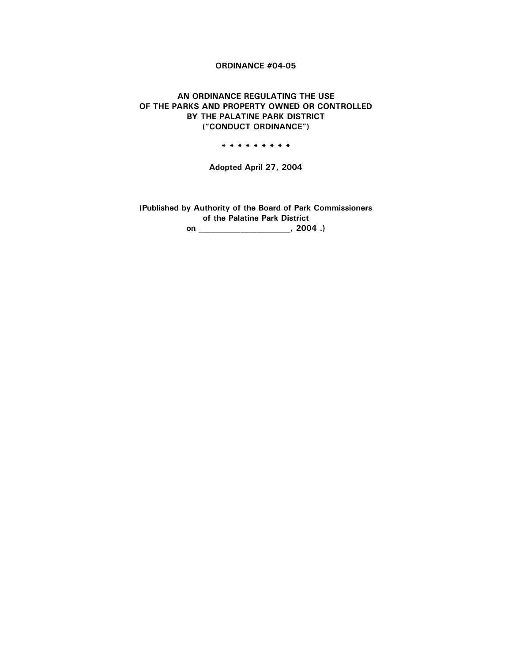# **ORDINANCE #04-05**

# AN ORDINANCE REGULATING THE USE OF THE PARKS AND PROPERTY OWNED OR CONTROLLED BY THE PALATINE PARK DISTRICT ("CONDUCT ORDINANCE")

\* \* \* \* \* \* \* \* \*

Adopted April 27, 2004

(Published by Authority of the Board of Park Commissioners of the Palatine Park District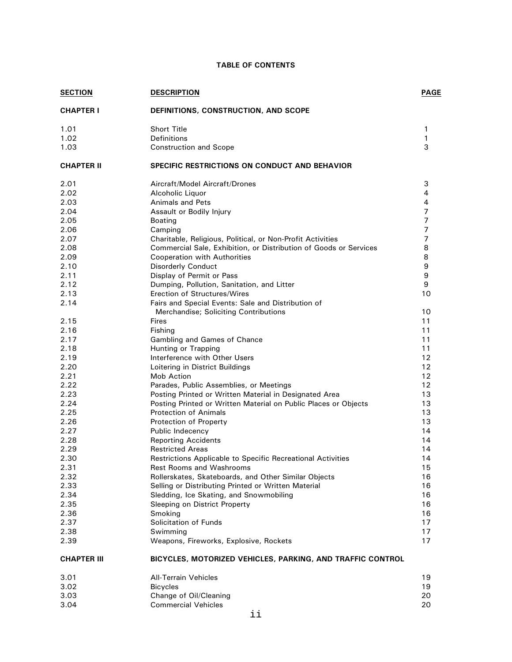# **TABLE OF CONTENTS**

| <b>SECTION</b>     | <b>DESCRIPTION</b>                                                | <b>PAGE</b>      |
|--------------------|-------------------------------------------------------------------|------------------|
| <b>CHAPTER I</b>   | DEFINITIONS, CONSTRUCTION, AND SCOPE                              |                  |
| 1.01               | <b>Short Title</b>                                                | 1                |
| 1.02               | <b>Definitions</b>                                                | 1                |
| 1.03               | <b>Construction and Scope</b>                                     | 3                |
| <b>CHAPTER II</b>  | <b>SPECIFIC RESTRICTIONS ON CONDUCT AND BEHAVIOR</b>              |                  |
| 2.01               | Aircraft/Model Aircraft/Drones                                    | 3                |
| 2.02               | Alcoholic Liquor                                                  | 4                |
| 2.03               | Animals and Pets                                                  | $\overline{4}$   |
| 2.04               | Assault or Bodily Injury                                          | $\overline{7}$   |
| 2.05               | Boating                                                           | $\overline{7}$   |
| 2.06               | Camping                                                           | 7                |
| 2.07               | Charitable, Religious, Political, or Non-Profit Activities        | $\overline{7}$   |
| 2.08               | Commercial Sale, Exhibition, or Distribution of Goods or Services | 8                |
| 2.09               | Cooperation with Authorities                                      | 8                |
| 2.10               | <b>Disorderly Conduct</b>                                         | $\boldsymbol{9}$ |
| 2.11               | Display of Permit or Pass                                         | 9                |
| 2.12               | Dumping, Pollution, Sanitation, and Litter                        | 9                |
| 2.13               | Erection of Structures/Wires                                      | 10               |
| 2.14               | Fairs and Special Events: Sale and Distribution of                |                  |
|                    | Merchandise; Soliciting Contributions                             | 10               |
| 2.15               | <b>Fires</b>                                                      | 11               |
| 2.16               | Fishing                                                           | 11               |
| 2.17               | Gambling and Games of Chance                                      | 11               |
| 2.18               | Hunting or Trapping                                               | 11               |
| 2.19               | Interference with Other Users                                     | 12               |
| 2.20               | Loitering in District Buildings                                   | 12               |
| 2.21               | Mob Action                                                        | 12               |
| 2.22               | Parades, Public Assemblies, or Meetings                           | 12               |
| 2.23               | Posting Printed or Written Material in Designated Area            | 13               |
| 2.24               | Posting Printed or Written Material on Public Places or Objects   | 13               |
| 2.25               | <b>Protection of Animals</b>                                      | 13               |
| 2.26               | Protection of Property                                            | 13               |
| 2.27               | Public Indecency                                                  | 14               |
| 2.28               | <b>Reporting Accidents</b>                                        | 14               |
| 2.29               | <b>Restricted Areas</b>                                           | 14               |
| 2.30               | Restrictions Applicable to Specific Recreational Activities       | 14               |
| 2.31               | <b>Rest Rooms and Washrooms</b>                                   | 15               |
| 2.32               | Rollerskates, Skateboards, and Other Similar Objects              | 16               |
| 2.33               | Selling or Distributing Printed or Written Material               | 16               |
| 2.34               | Sledding, Ice Skating, and Snowmobiling                           | 16               |
| 2.35<br>2.36       | Sleeping on District Property                                     | 16<br>16         |
| 2.37               | Smoking<br>Solicitation of Funds                                  | 17               |
|                    |                                                                   |                  |
| 2.38<br>2.39       | Swimming<br>Weapons, Fireworks, Explosive, Rockets                | 17<br>17         |
| <b>CHAPTER III</b> | BICYCLES, MOTORIZED VEHICLES, PARKING, AND TRAFFIC CONTROL        |                  |
| 3.01               | <b>All-Terrain Vehicles</b>                                       | 19               |
| 3.02               | <b>Bicycles</b>                                                   | 19               |
| 3.03               | Change of Oil/Cleaning                                            | 20               |
| 3.04               | <b>Commercial Vehicles</b>                                        | 20               |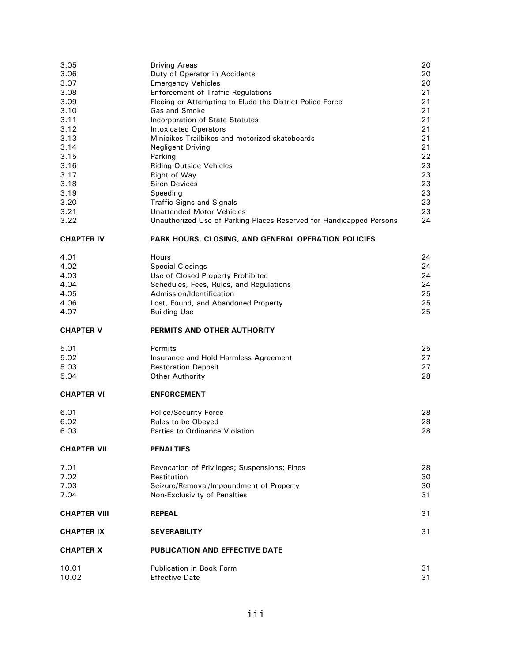| 3.05<br>3.06<br>3.07<br>3.08<br>3.09<br>3.10<br>3.11<br>3.12<br>3.13<br>3.14<br>3.15<br>3.16<br>3.17<br>3.18<br>3.19<br>3.20<br>3.21<br>3.22 | <b>Driving Areas</b><br>Duty of Operator in Accidents<br><b>Emergency Vehicles</b><br><b>Enforcement of Traffic Regulations</b><br>Fleeing or Attempting to Elude the District Police Force<br>Gas and Smoke<br>Incorporation of State Statutes<br><b>Intoxicated Operators</b><br>Minibikes Trailbikes and motorized skateboards<br><b>Negligent Driving</b><br>Parking<br><b>Riding Outside Vehicles</b><br>Right of Way<br><b>Siren Devices</b><br>Speeding<br><b>Traffic Signs and Signals</b><br><b>Unattended Motor Vehicles</b><br>Unauthorized Use of Parking Places Reserved for Handicapped Persons | 20<br>20<br>20<br>21<br>21<br>21<br>21<br>21<br>21<br>21<br>22<br>23<br>23<br>23<br>23<br>23<br>23<br>24 |
|----------------------------------------------------------------------------------------------------------------------------------------------|---------------------------------------------------------------------------------------------------------------------------------------------------------------------------------------------------------------------------------------------------------------------------------------------------------------------------------------------------------------------------------------------------------------------------------------------------------------------------------------------------------------------------------------------------------------------------------------------------------------|----------------------------------------------------------------------------------------------------------|
| <b>CHAPTER IV</b>                                                                                                                            | PARK HOURS, CLOSING, AND GENERAL OPERATION POLICIES                                                                                                                                                                                                                                                                                                                                                                                                                                                                                                                                                           |                                                                                                          |
| 4.01<br>4.02<br>4.03<br>4.04<br>4.05<br>4.06<br>4.07                                                                                         | Hours<br><b>Special Closings</b><br>Use of Closed Property Prohibited<br>Schedules, Fees, Rules, and Regulations<br>Admission/Identification<br>Lost, Found, and Abandoned Property<br><b>Building Use</b>                                                                                                                                                                                                                                                                                                                                                                                                    | 24<br>24<br>24<br>24<br>25<br>25<br>25                                                                   |
|                                                                                                                                              | PERMITS AND OTHER AUTHORITY                                                                                                                                                                                                                                                                                                                                                                                                                                                                                                                                                                                   |                                                                                                          |
| <b>CHAPTER V</b>                                                                                                                             |                                                                                                                                                                                                                                                                                                                                                                                                                                                                                                                                                                                                               |                                                                                                          |
| 5.01<br>5.02<br>5.03<br>5.04                                                                                                                 | Permits<br>Insurance and Hold Harmless Agreement<br><b>Restoration Deposit</b><br><b>Other Authority</b>                                                                                                                                                                                                                                                                                                                                                                                                                                                                                                      | 25<br>27<br>27<br>28                                                                                     |
| <b>CHAPTER VI</b>                                                                                                                            | <b>ENFORCEMENT</b>                                                                                                                                                                                                                                                                                                                                                                                                                                                                                                                                                                                            |                                                                                                          |
| 6.01<br>6.02<br>6.03                                                                                                                         | <b>Police/Security Force</b><br>Rules to be Obeyed<br>Parties to Ordinance Violation                                                                                                                                                                                                                                                                                                                                                                                                                                                                                                                          | 28<br>28<br>28                                                                                           |
| <b>CHAPTER VII</b>                                                                                                                           | <b>PENALTIES</b>                                                                                                                                                                                                                                                                                                                                                                                                                                                                                                                                                                                              |                                                                                                          |
| 7.01<br>7.02<br>7.03<br>7.04                                                                                                                 | Revocation of Privileges; Suspensions; Fines<br>Restitution<br>Seizure/Removal/Impoundment of Property<br>Non-Exclusivity of Penalties                                                                                                                                                                                                                                                                                                                                                                                                                                                                        | 28<br>30<br>30<br>31                                                                                     |
| <b>CHAPTER VIII</b>                                                                                                                          | <b>REPEAL</b>                                                                                                                                                                                                                                                                                                                                                                                                                                                                                                                                                                                                 | 31                                                                                                       |
| <b>CHAPTER IX</b>                                                                                                                            | <b>SEVERABILITY</b>                                                                                                                                                                                                                                                                                                                                                                                                                                                                                                                                                                                           | 31                                                                                                       |
| <b>CHAPTER X</b>                                                                                                                             | <b>PUBLICATION AND EFFECTIVE DATE</b>                                                                                                                                                                                                                                                                                                                                                                                                                                                                                                                                                                         |                                                                                                          |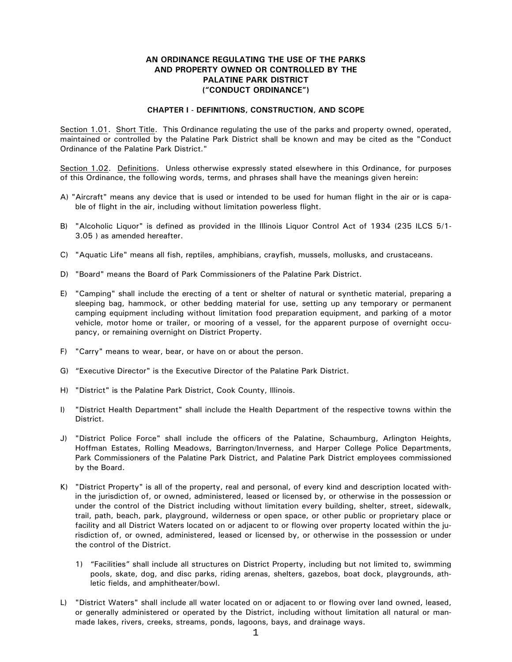## AN ORDINANCE REGULATING THE USE OF THE PARKS AND PROPERTY OWNED OR CONTROLLED BY THE **PALATINE PARK DISTRICT** ("CONDUCT ORDINANCE")

#### **CHAPTER I - DEFINITIONS, CONSTRUCTION, AND SCOPE**

Section 1.01. Short Title. This Ordinance regulating the use of the parks and property owned, operated, maintained or controlled by the Palatine Park District shall be known and may be cited as the "Conduct Ordinance of the Palatine Park District."

Section 1.02. Definitions. Unless otherwise expressly stated elsewhere in this Ordinance, for purposes of this Ordinance, the following words, terms, and phrases shall have the meanings given herein:

- A) "Aircraft" means any device that is used or intended to be used for human flight in the air or is capable of flight in the air, including without limitation powerless flight.
- B) "Alcoholic Liquor" is defined as provided in the Illinois Liquor Control Act of 1934 (235 ILCS 5/1-3.05 ) as amended hereafter.
- C) "Aquatic Life" means all fish, reptiles, amphibians, crayfish, mussels, mollusks, and crustaceans.
- D) "Board" means the Board of Park Commissioners of the Palatine Park District.
- E) "Camping" shall include the erecting of a tent or shelter of natural or synthetic material, preparing a sleeping bag, hammock, or other bedding material for use, setting up any temporary or permanent camping equipment including without limitation food preparation equipment, and parking of a motor vehicle, motor home or trailer, or mooring of a vessel, for the apparent purpose of overnight occupancy, or remaining overnight on District Property.
- F) "Carry" means to wear, bear, or have on or about the person.
- G) "Executive Director" is the Executive Director of the Palatine Park District.
- H) "District" is the Palatine Park District, Cook County, Illinois.
- $\vert$ "District Health Department" shall include the Health Department of the respective towns within the District.
- J) "District Police Force" shall include the officers of the Palatine, Schaumburg, Arlington Heights, Hoffman Estates, Rolling Meadows, Barrington/Inverness, and Harper College Police Departments, Park Commissioners of the Palatine Park District, and Palatine Park District employees commissioned by the Board.
- K) "District Property" is all of the property, real and personal, of every kind and description located within the jurisdiction of, or owned, administered, leased or licensed by, or otherwise in the possession or under the control of the District including without limitation every building, shelter, street, sidewalk, trail, path, beach, park, playground, wilderness or open space, or other public or proprietary place or facility and all District Waters located on or adjacent to or flowing over property located within the jurisdiction of, or owned, administered, leased or licensed by, or otherwise in the possession or under the control of the District.
	- 1) "Facilities" shall include all structures on District Property, including but not limited to, swimming pools, skate, dog, and disc parks, riding arenas, shelters, gazebos, boat dock, playgrounds, athletic fields, and amphitheater/bowl.
- L) "District Waters" shall include all water located on or adjacent to or flowing over land owned, leased, or generally administered or operated by the District, including without limitation all natural or manmade lakes, rivers, creeks, streams, ponds, lagoons, bays, and drainage ways.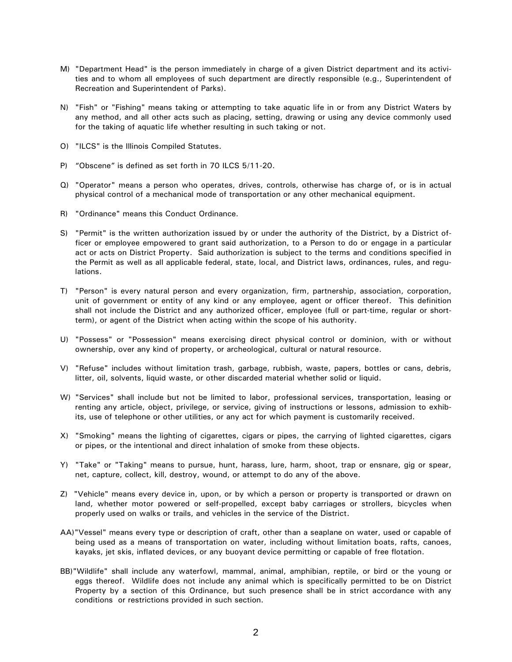- M) "Department Head" is the person immediately in charge of a given District department and its activities and to whom all employees of such department are directly responsible (e.g., Superintendent of Recreation and Superintendent of Parks).
- N) "Fish" or "Fishing" means taking or attempting to take aquatic life in or from any District Waters by any method, and all other acts such as placing, setting, drawing or using any device commonly used for the taking of aquatic life whether resulting in such taking or not.
- O) "ILCS" is the Illinois Compiled Statutes.
- P) "Obscene" is defined as set forth in 70 ILCS 5/11-20.
- Q) "Operator" means a person who operates, drives, controls, otherwise has charge of, or is in actual physical control of a mechanical mode of transportation or any other mechanical equipment.
- R) "Ordinance" means this Conduct Ordinance.
- S) "Permit" is the written authorization issued by or under the authority of the District, by a District officer or employee empowered to grant said authorization, to a Person to do or engage in a particular act or acts on District Property. Said authorization is subject to the terms and conditions specified in the Permit as well as all applicable federal, state, local, and District laws, ordinances, rules, and regulations.
- T) "Person" is every natural person and every organization, firm, partnership, association, corporation, unit of government or entity of any kind or any employee, agent or officer thereof. This definition shall not include the District and any authorized officer, employee (full or part-time, regular or shortterm), or agent of the District when acting within the scope of his authority.
- U) "Possess" or "Possession" means exercising direct physical control or dominion, with or without ownership, over any kind of property, or archeological, cultural or natural resource.
- V) "Refuse" includes without limitation trash, garbage, rubbish, waste, papers, bottles or cans, debris, litter, oil, solvents, liquid waste, or other discarded material whether solid or liquid.
- W) "Services" shall include but not be limited to labor, professional services, transportation, leasing or renting any article, object, privilege, or service, giving of instructions or lessons, admission to exhibits, use of telephone or other utilities, or any act for which payment is customarily received.
- X) "Smoking" means the lighting of cigarettes, cigars or pipes, the carrying of lighted cigarettes, cigars or pipes, or the intentional and direct inhalation of smoke from these objects.
- Y) "Take" or "Taking" means to pursue, hunt, harass, lure, harm, shoot, trap or ensnare, gig or spear, net, capture, collect, kill, destroy, wound, or attempt to do any of the above.
- Z) "Vehicle" means every device in, upon, or by which a person or property is transported or drawn on land, whether motor powered or self-propelled, except baby carriages or strollers, bicycles when properly used on walks or trails, and vehicles in the service of the District.
- AA)"Vessel" means every type or description of craft, other than a seaplane on water, used or capable of being used as a means of transportation on water, including without limitation boats, rafts, canoes, kayaks, jet skis, inflated devices, or any buoyant device permitting or capable of free flotation.
- BB)"Wildlife" shall include any waterfowl, mammal, animal, amphibian, reptile, or bird or the young or eggs thereof. Wildlife does not include any animal which is specifically permitted to be on District Property by a section of this Ordinance, but such presence shall be in strict accordance with any conditions or restrictions provided in such section.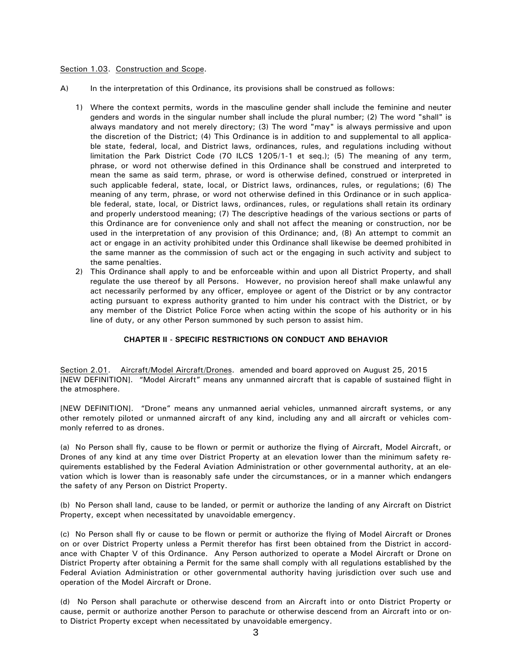#### Section 1.03. Construction and Scope.

- $(A)$ In the interpretation of this Ordinance, its provisions shall be construed as follows:
	- 1) Where the context permits, words in the masculine gender shall include the feminine and neuter genders and words in the singular number shall include the plural number; (2) The word "shall" is always mandatory and not merely directory; (3) The word "may" is always permissive and upon the discretion of the District; (4) This Ordinance is in addition to and supplemental to all applicable state, federal, local, and District laws, ordinances, rules, and regulations including without limitation the Park District Code (70 ILCS 1205/1-1 et seq.); (5) The meaning of any term, phrase, or word not otherwise defined in this Ordinance shall be construed and interpreted to mean the same as said term, phrase, or word is otherwise defined, construed or interpreted in such applicable federal, state, local, or District laws, ordinances, rules, or regulations; (6) The meaning of any term, phrase, or word not otherwise defined in this Ordinance or in such applicable federal, state, local, or District laws, ordinances, rules, or regulations shall retain its ordinary and properly understood meaning; (7) The descriptive headings of the various sections or parts of this Ordinance are for convenience only and shall not affect the meaning or construction, nor be used in the interpretation of any provision of this Ordinance; and, (8) An attempt to commit an act or engage in an activity prohibited under this Ordinance shall likewise be deemed prohibited in the same manner as the commission of such act or the engaging in such activity and subject to the same penalties.
	- 2) This Ordinance shall apply to and be enforceable within and upon all District Property, and shall regulate the use thereof by all Persons. However, no provision hereof shall make unlawful any act necessarily performed by any officer, employee or agent of the District or by any contractor acting pursuant to express authority granted to him under his contract with the District, or by any member of the District Police Force when acting within the scope of his authority or in his line of duty, or any other Person summoned by such person to assist him.

### **CHAPTER II - SPECIFIC RESTRICTIONS ON CONDUCT AND BEHAVIOR**

Section 2.01. Aircraft/Model Aircraft/Drones. amended and board approved on August 25, 2015 [NEW DEFINITION]. "Model Aircraft" means any unmanned aircraft that is capable of sustained flight in the atmosphere.

[NEW DEFINITION]. "Drone" means any unmanned aerial vehicles, unmanned aircraft systems, or any other remotely piloted or unmanned aircraft of any kind, including any and all aircraft or vehicles commonly referred to as drones.

(a) No Person shall fly, cause to be flown or permit or authorize the flying of Aircraft, Model Aircraft, or Drones of any kind at any time over District Property at an elevation lower than the minimum safety requirements established by the Federal Aviation Administration or other governmental authority, at an elevation which is lower than is reasonably safe under the circumstances, or in a manner which endangers the safety of any Person on District Property.

(b) No Person shall land, cause to be landed, or permit or authorize the landing of any Aircraft on District Property, except when necessitated by unavoidable emergency.

(c) No Person shall fly or cause to be flown or permit or authorize the flying of Model Aircraft or Drones on or over District Property unless a Permit therefor has first been obtained from the District in accordance with Chapter V of this Ordinance. Any Person authorized to operate a Model Aircraft or Drone on District Property after obtaining a Permit for the same shall comply with all regulations established by the Federal Aviation Administration or other governmental authority having jurisdiction over such use and operation of the Model Aircraft or Drone.

(d) No Person shall parachute or otherwise descend from an Aircraft into or onto District Property or cause, permit or authorize another Person to parachute or otherwise descend from an Aircraft into or onto District Property except when necessitated by unavoidable emergency.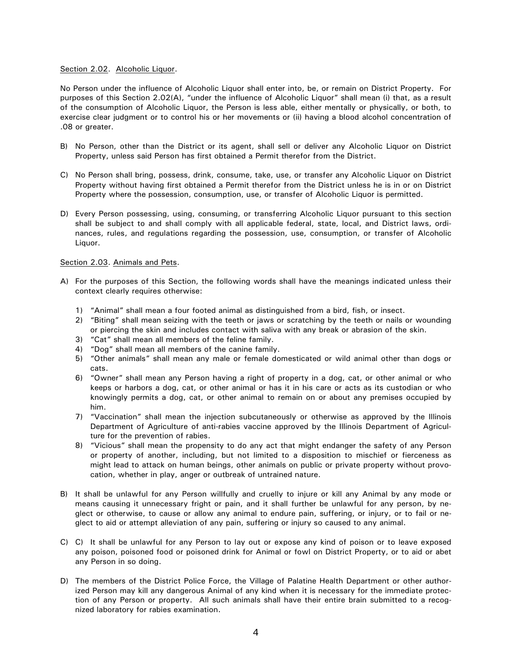### Section 2.02. Alcoholic Liquor.

No Person under the influence of Alcoholic Liquor shall enter into, be, or remain on District Property. For purposes of this Section 2.02(A), "under the influence of Alcoholic Liquor" shall mean (i) that, as a result of the consumption of Alcoholic Liquor, the Person is less able, either mentally or physically, or both, to exercise clear judgment or to control his or her movements or (ii) having a blood alcohol concentration of .08 or greater.

- B) No Person, other than the District or its agent, shall sell or deliver any Alcoholic Liquor on District Property, unless said Person has first obtained a Permit therefor from the District.
- C) No Person shall bring, possess, drink, consume, take, use, or transfer any Alcoholic Liquor on District Property without having first obtained a Permit therefor from the District unless he is in or on District Property where the possession, consumption, use, or transfer of Alcoholic Liquor is permitted.
- D) Every Person possessing, using, consuming, or transferring Alcoholic Liquor pursuant to this section shall be subject to and shall comply with all applicable federal, state, local, and District laws, ordinances, rules, and regulations regarding the possession, use, consumption, or transfer of Alcoholic Liquor.

#### Section 2.03. Animals and Pets.

- A) For the purposes of this Section, the following words shall have the meanings indicated unless their context clearly requires otherwise:
	- 1) "Animal" shall mean a four footed animal as distinguished from a bird, fish, or insect.
	- 2) "Biting" shall mean seizing with the teeth or jaws or scratching by the teeth or nails or wounding or piercing the skin and includes contact with saliva with any break or abrasion of the skin.
	- 3) "Cat" shall mean all members of the feline family.
	- 4) "Dog" shall mean all members of the canine family.
	- 5) "Other animals" shall mean any male or female domesticated or wild animal other than dogs or cats.
	- 6) "Owner" shall mean any Person having a right of property in a dog, cat, or other animal or who keeps or harbors a dog, cat, or other animal or has it in his care or acts as its custodian or who knowingly permits a dog, cat, or other animal to remain on or about any premises occupied by him
	- 7) "Vaccination" shall mean the injection subcutaneously or otherwise as approved by the Illinois Department of Agriculture of anti-rabies vaccine approved by the Illinois Department of Agriculture for the prevention of rabies.
	- 8) "Vicious" shall mean the propensity to do any act that might endanger the safety of any Person or property of another, including, but not limited to a disposition to mischief or fierceness as might lead to attack on human beings, other animals on public or private property without provocation, whether in play, anger or outbreak of untrained nature.
- B) It shall be unlawful for any Person willfully and cruelly to injure or kill any Animal by any mode or means causing it unnecessary fright or pain, and it shall further be unlawful for any person, by neglect or otherwise, to cause or allow any animal to endure pain, suffering, or injury, or to fail or neglect to aid or attempt alleviation of any pain, suffering or injury so caused to any animal.
- C) C) It shall be unlawful for any Person to lay out or expose any kind of poison or to leave exposed any poison, poisoned food or poisoned drink for Animal or fowl on District Property, or to aid or abet any Person in so doing.
- D) The members of the District Police Force, the Village of Palatine Health Department or other authorized Person may kill any dangerous Animal of any kind when it is necessary for the immediate protection of any Person or property. All such animals shall have their entire brain submitted to a recognized laboratory for rabies examination.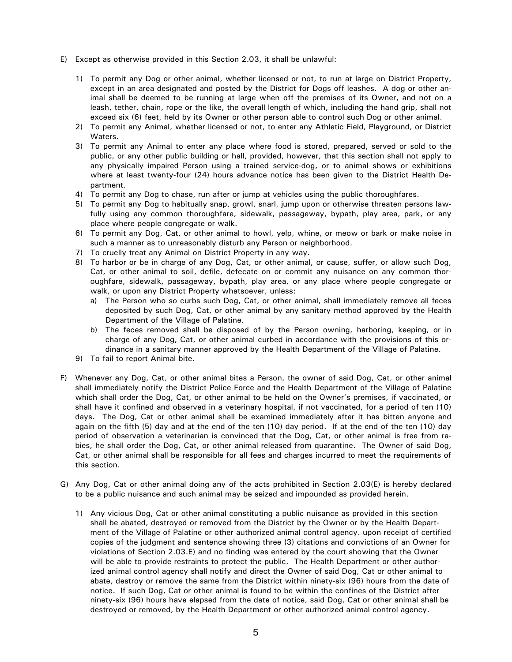- E) Except as otherwise provided in this Section 2.03, it shall be unlawful:
	- 1) To permit any Dog or other animal, whether licensed or not, to run at large on District Property, except in an area designated and posted by the District for Dogs off leashes. A dog or other animal shall be deemed to be running at large when off the premises of its Owner, and not on a leash, tether, chain, rope or the like, the overall length of which, including the hand grip, shall not exceed six (6) feet, held by its Owner or other person able to control such Dog or other animal.
	- 2) To permit any Animal, whether licensed or not, to enter any Athletic Field, Playground, or District Waters
	- 3) To permit any Animal to enter any place where food is stored, prepared, served or sold to the public, or any other public building or hall, provided, however, that this section shall not apply to any physically impaired Person using a trained service-dog, or to animal shows or exhibitions where at least twenty-four (24) hours advance notice has been given to the District Health Department.
	- 4) To permit any Dog to chase, run after or jump at vehicles using the public thoroughfares.
	- 5) To permit any Dog to habitually snap, growl, snarl, jump upon or otherwise threaten persons lawfully using any common thoroughfare, sidewalk, passageway, bypath, play area, park, or any place where people congregate or walk.
	- 6) To permit any Dog, Cat, or other animal to howl, yelp, whine, or meow or bark or make noise in such a manner as to unreasonably disturb any Person or neighborhood.
	- 7) To cruelly treat any Animal on District Property in any way.
	- 8) To harbor or be in charge of any Dog, Cat, or other animal, or cause, suffer, or allow such Dog, Cat, or other animal to soil, defile, defecate on or commit any nuisance on any common thoroughfare, sidewalk, passageway, bypath, play area, or any place where people congregate or walk, or upon any District Property whatsoever, unless:
		- a) The Person who so curbs such Dog, Cat, or other animal, shall immediately remove all feces deposited by such Dog, Cat, or other animal by any sanitary method approved by the Health Department of the Village of Palatine.
		- b) The feces removed shall be disposed of by the Person owning, harboring, keeping, or in charge of any Dog, Cat, or other animal curbed in accordance with the provisions of this ordinance in a sanitary manner approved by the Health Department of the Village of Palatine.
	- 9) To fail to report Animal bite.
- F) Whenever any Dog, Cat, or other animal bites a Person, the owner of said Dog, Cat, or other animal shall immediately notify the District Police Force and the Health Department of the Village of Palatine which shall order the Dog, Cat, or other animal to be held on the Owner's premises, if vaccinated, or shall have it confined and observed in a veterinary hospital, if not vaccinated, for a period of ten (10) days. The Dog, Cat or other animal shall be examined immediately after it has bitten anyone and again on the fifth (5) day and at the end of the ten (10) day period. If at the end of the ten (10) day period of observation a veterinarian is convinced that the Dog, Cat, or other animal is free from rabies, he shall order the Dog, Cat, or other animal released from quarantine. The Owner of said Dog, Cat, or other animal shall be responsible for all fees and charges incurred to meet the requirements of this section.
- G) Any Dog, Cat or other animal doing any of the acts prohibited in Section 2.03(E) is hereby declared to be a public nuisance and such animal may be seized and impounded as provided herein.
	- 1) Any vicious Dog, Cat or other animal constituting a public nuisance as provided in this section shall be abated, destroyed or removed from the District by the Owner or by the Health Department of the Village of Palatine or other authorized animal control agency. upon receipt of certified copies of the judgment and sentence showing three (3) citations and convictions of an Owner for violations of Section 2.03.E) and no finding was entered by the court showing that the Owner will be able to provide restraints to protect the public. The Health Department or other authorized animal control agency shall notify and direct the Owner of said Dog, Cat or other animal to abate, destroy or remove the same from the District within ninety-six (96) hours from the date of notice. If such Dog, Cat or other animal is found to be within the confines of the District after ninety-six (96) hours have elapsed from the date of notice, said Dog, Cat or other animal shall be destroyed or removed, by the Health Department or other authorized animal control agency.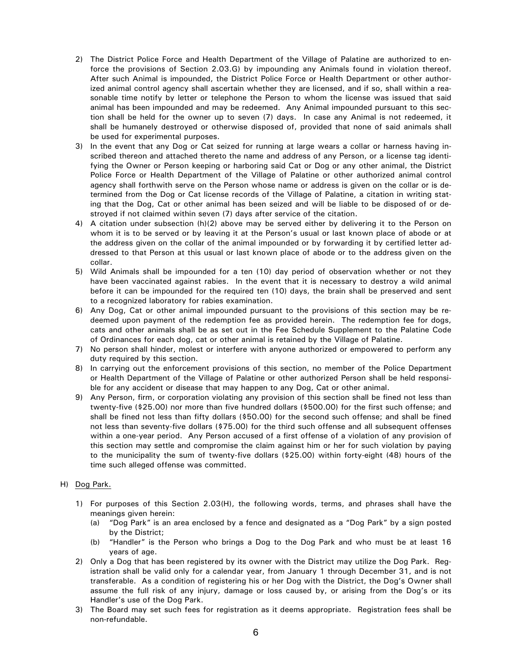- 2) The District Police Force and Health Department of the Village of Palatine are authorized to enforce the provisions of Section 2.03.G) by impounding any Animals found in violation thereof. After such Animal is impounded, the District Police Force or Health Department or other authorized animal control agency shall ascertain whether they are licensed, and if so, shall within a reasonable time notify by letter or telephone the Person to whom the license was issued that said animal has been impounded and may be redeemed. Any Animal impounded pursuant to this section shall be held for the owner up to seven (7) days. In case any Animal is not redeemed, it shall be humanely destroyed or otherwise disposed of, provided that none of said animals shall be used for experimental purposes.
- 3) In the event that any Dog or Cat seized for running at large wears a collar or harness having inscribed thereon and attached thereto the name and address of any Person, or a license tag identifying the Owner or Person keeping or harboring said Cat or Dog or any other animal, the District Police Force or Health Department of the Village of Palatine or other authorized animal control agency shall forthwith serve on the Person whose name or address is given on the collar or is determined from the Dog or Cat license records of the Village of Palatine, a citation in writing stating that the Dog, Cat or other animal has been seized and will be liable to be disposed of or destroyed if not claimed within seven (7) days after service of the citation.
- 4) A citation under subsection (h)(2) above may be served either by delivering it to the Person on whom it is to be served or by leaving it at the Person's usual or last known place of abode or at the address given on the collar of the animal impounded or by forwarding it by certified letter addressed to that Person at this usual or last known place of abode or to the address given on the collar.
- 5) Wild Animals shall be impounded for a ten (10) day period of observation whether or not they have been vaccinated against rabies. In the event that it is necessary to destroy a wild animal before it can be impounded for the required ten (10) days, the brain shall be preserved and sent to a recognized laboratory for rabies examination.
- 6) Any Dog, Cat or other animal impounded pursuant to the provisions of this section may be redee med upon payment of the redemption fee as provided herein. The redemption fee for dogs, cats and other animals shall be as set out in the Fee Schedule Supplement to the Palatine Code of Ordinances for each dog, cat or other animal is retained by the Village of Palatine.
- 7) No person shall hinder, molest or interfere with anyone authorized or empowered to perform any duty required by this section.
- 8) In carrying out the enforcement provisions of this section, no member of the Police Department or Health Department of the Village of Palatine or other authorized Person shall be held responsible for any accident or disease that may happen to any Dog, Cat or other animal.
- 9) Any Person, firm, or corporation violating any provision of this section shall be fined not less than twenty-five (\$25.00) nor more than five hundred dollars (\$500.00) for the first such offense; and shall be fined not less than fifty dollars  $(*50.00)$  for the second such offense; and shall be fined not less than seventy-five dollars (\$75.00) for the third such offense and all subsequent offenses within a one-year period. Any Person accused of a first offense of a violation of any provision of this section may settle and compromise the claim against him or her for such violation by paying to the municipality the sum of twenty-five dollars (\$25.00) within forty-eight (48) hours of the time such alleged offense was committed.

## H) Dog Park.

- 1) For purposes of this Section 2.03(H), the following words, terms, and phrases shall have the meanings given herein:
	- (a) "Dog Park" is an area enclosed by a fence and designated as a "Dog Park" by a sign posted by the District;
	- (b) "Handler" is the Person who brings a Dog to the Dog Park and who must be at least 16 years of age.
- 2) Only a Dog that has been registered by its owner with the District may utilize the Dog Park. Registration shall be valid only for a calendar year, from January 1 through December 31, and is not transferable. As a condition of registering his or her Dog with the District, the Dog's Owner shall assume the full risk of any injury, damage or loss caused by, or arising from the Dog's or its Handler's use of the Dog Park.
- 3) The Board may set such fees for registration as it deems appropriate. Registration fees shall be non-refundable.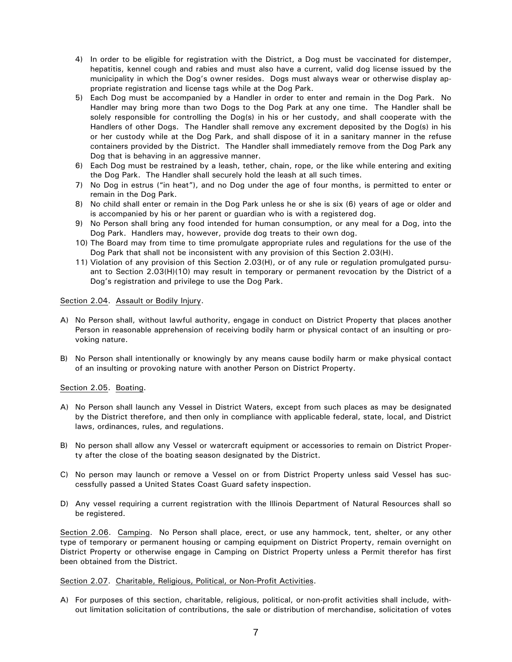- 4) In order to be eligible for registration with the District, a Dog must be vaccinated for distemper, hepatitis, kennel cough and rabies and must also have a current, valid dog license issued by the municipality in which the Dog's owner resides. Dogs must always wear or otherwise display appropriate registration and license tags while at the Dog Park.
- 5) Each Dog must be accompanied by a Handler in order to enter and remain in the Dog Park. No Handler may bring more than two Dogs to the Dog Park at any one time. The Handler shall be solely responsible for controlling the Dog(s) in his or her custody, and shall cooperate with the Handlers of other Dogs. The Handler shall remove any excrement deposited by the Dog(s) in his or her custody while at the Dog Park, and shall dispose of it in a sanitary manner in the refuse containers provided by the District. The Handler shall immediately remove from the Dog Park any Dog that is behaving in an aggressive manner.
- 6) Each Dog must be restrained by a leash, tether, chain, rope, or the like while entering and exiting the Dog Park. The Handler shall securely hold the leash at all such times.
- 7) No Dog in estrus ("in heat"), and no Dog under the age of four months, is permitted to enter or remain in the Dog Park.
- 8) No child shall enter or remain in the Dog Park unless he or she is six (6) years of age or older and is accompanied by his or her parent or quardian who is with a registered dog.
- 9) No Person shall bring any food intended for human consumption, or any meal for a Dog, into the Dog Park. Handlers may, however, provide dog treats to their own dog.
- 10) The Board may from time to time promulgate appropriate rules and regulations for the use of the Dog Park that shall not be inconsistent with any provision of this Section 2.03(H).
- 11) Violation of any provision of this Section 2.03(H), or of any rule or regulation promulgated pursuant to Section 2.03(H)(10) may result in temporary or permanent revocation by the District of a Dog's registration and privilege to use the Dog Park.

### Section 2.04. Assault or Bodily Injury.

- A) No Person shall, without lawful authority, engage in conduct on District Property that places another Person in reasonable apprehension of receiving bodily harm or physical contact of an insulting or provoking nature.
- B) No Person shall intentionally or knowingly by any means cause bodily harm or make physical contact of an insulting or provoking nature with another Person on District Property.

### Section 2.05. Boating.

- A) No Person shall launch any Vessel in District Waters, except from such places as may be designated by the District therefore, and then only in compliance with applicable federal, state, local, and District laws, ordinances, rules, and regulations.
- B) No person shall allow any Vessel or watercraft equipment or accessories to remain on District Property after the close of the boating season designated by the District.
- C) No person may launch or remove a Vessel on or from District Property unless said Vessel has successfully passed a United States Coast Guard safety inspection.
- D) Any vessel requiring a current registration with the Illinois Department of Natural Resources shall so be registered.

Section 2.06. Camping. No Person shall place, erect, or use any hammock, tent, shelter, or any other type of temporary or permanent housing or camping equipment on District Property, remain overnight on District Property or otherwise engage in Camping on District Property unless a Permit therefor has first been obtained from the District.

### Section 2.07. Charitable, Religious, Political, or Non-Profit Activities.

A) For purposes of this section, charitable, religious, political, or non-profit activities shall include, without limitation solicitation of contributions, the sale or distribution of merchandise, solicitation of votes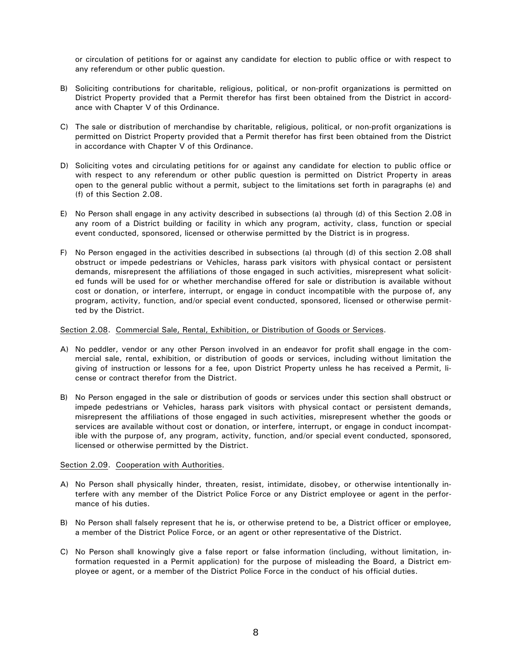or circulation of petitions for or against any candidate for election to public office or with respect to any referendum or other public question.

- B) Soliciting contributions for charitable, religious, political, or non-profit organizations is permitted on District Property provided that a Permit therefor has first been obtained from the District in accordance with Chapter V of this Ordinance.
- C) The sale or distribution of merchandise by charitable, religious, political, or non-profit organizations is permitted on District Property provided that a Permit therefor has first been obtained from the District in accordance with Chapter V of this Ordinance.
- D) Soliciting votes and circulating petitions for or against any candidate for election to public office or with respect to any referendum or other public question is permitted on District Property in areas open to the general public without a permit, subject to the limitations set forth in paragraphs (e) and (f) of this Section  $2.08$ .
- E) No Person shall engage in any activity described in subsections (a) through (d) of this Section 2.08 in any room of a District building or facility in which any program, activity, class, function or special event conducted, sponsored, licensed or otherwise permitted by the District is in progress.
- F) No Person engaged in the activities described in subsections (a) through (d) of this section 2.08 shall obstruct or impede pedestrians or Vehicles, harass park visitors with physical contact or persistent demands, misrepresent the affiliations of those engaged in such activities, misrepresent what solicited funds will be used for or whether merchandise offered for sale or distribution is available without cost or donation, or interfere, interrupt, or engage in conduct incompatible with the purpose of, any program, activity, function, and/or special event conducted, sponsored, licensed or otherwise permitted by the District

### Section 2.08. Commercial Sale, Rental, Exhibition, or Distribution of Goods or Services.

- A) No peddler, vendor or any other Person involved in an endeavor for profit shall engage in the commercial sale, rental, exhibition, or distribution of goods or services, including without limitation the giving of instruction or lessons for a fee, upon District Property unless he has received a Permit, license or contract therefor from the District.
- B) No Person engaged in the sale or distribution of goods or services under this section shall obstruct or impede pedestrians or Vehicles, harass park visitors with physical contact or persistent demands, misrepresent the affiliations of those engaged in such activities, misrepresent whether the goods or services are available without cost or donation, or interfere, interrupt, or engage in conduct incompatible with the purpose of, any program, activity, function, and/or special event conducted, sponsored, licensed or otherwise permitted by the District.

### Section 2.09. Cooperation with Authorities.

- A) No Person shall physically hinder, threaten, resist, intimidate, disobey, or otherwise intentionally interfere with any member of the District Police Force or any District employee or agent in the performance of his duties.
- B) No Person shall falsely represent that he is, or otherwise pretend to be, a District officer or employee, a member of the District Police Force, or an agent or other representative of the District.
- C) No Person shall knowingly give a false report or false information (including, without limitation, information requested in a Permit application) for the purpose of misleading the Board, a District employee or agent, or a member of the District Police Force in the conduct of his official duties.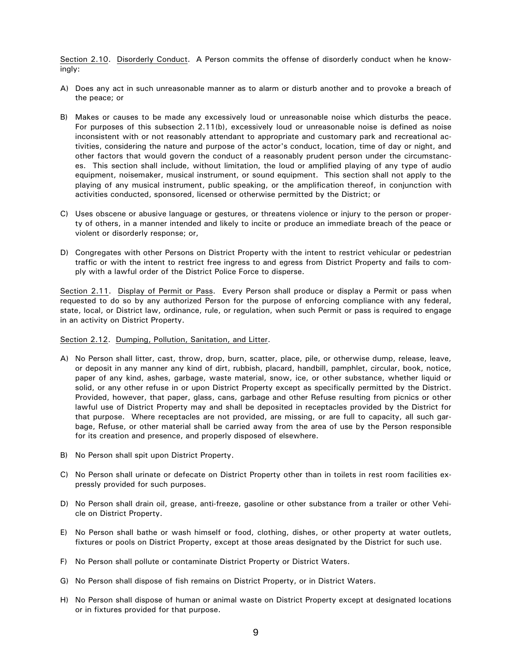Section 2.10. Disorderly Conduct. A Person commits the offense of disorderly conduct when he knowingly:

- A) Does any act in such unreasonable manner as to alarm or disturb another and to provoke a breach of the peace; or
- B) Makes or causes to be made any excessively loud or unreasonable noise which disturbs the peace. For purposes of this subsection 2.11(b), excessively loud or unreasonable noise is defined as noise inconsistent with or not reasonably attendant to appropriate and customary park and recreational activities, considering the nature and purpose of the actor's conduct, location, time of day or night, and other factors that would govern the conduct of a reasonably prudent person under the circumstances. This section shall include, without limitation, the loud or amplified playing of any type of audio equipment, noisemaker, musical instrument, or sound equipment. This section shall not apply to the playing of any musical instrument, public speaking, or the amplification thereof, in conjunction with activities conducted, sponsored, licensed or otherwise permitted by the District; or
- C) Uses obscene or abusive language or gestures, or threatens violence or injury to the person or property of others, in a manner intended and likely to incite or produce an immediate breach of the peace or violent or disorderly response; or,
- D) Congregates with other Persons on District Property with the intent to restrict vehicular or pedestrian traffic or with the intent to restrict free ingress to and egress from District Property and fails to comply with a lawful order of the District Police Force to disperse.

Section 2.11. Display of Permit or Pass. Every Person shall produce or display a Permit or pass when requested to do so by any authorized Person for the purpose of enforcing compliance with any federal, state, local, or District law, ordinance, rule, or regulation, when such Permit or pass is required to engage in an activity on District Property.

Section 2.12. Dumping, Pollution, Sanitation, and Litter.

- A) No Person shall litter, cast, throw, drop, burn, scatter, place, pile, or otherwise dump, release, leave, or deposit in any manner any kind of dirt, rubbish, placard, handbill, pamphlet, circular, book, notice, paper of any kind, ashes, garbage, waste material, snow, ice, or other substance, whether liquid or solid, or any other refuse in or upon District Property except as specifically permitted by the District. Provided, however, that paper, glass, cans, garbage and other Refuse resulting from picnics or other lawful use of District Property may and shall be deposited in receptacles provided by the District for that purpose. Where receptacles are not provided, are missing, or are full to capacity, all such garbage, Refuse, or other material shall be carried away from the area of use by the Person responsible for its creation and presence, and properly disposed of elsewhere.
- B) No Person shall spit upon District Property.
- C) No Person shall urinate or defecate on District Property other than in toilets in rest room facilities expressly provided for such purposes.
- D) No Person shall drain oil, grease, anti-freeze, gasoline or other substance from a trailer or other Vehicle on District Property.
- E) No Person shall bathe or wash himself or food, clothing, dishes, or other property at water outlets, fixtures or pools on District Property, except at those areas designated by the District for such use.
- F) No Person shall pollute or contaminate District Property or District Waters.
- G) No Person shall dispose of fish remains on District Property, or in District Waters.
- H) No Person shall dispose of human or animal waste on District Property except at designated locations or in fixtures provided for that purpose.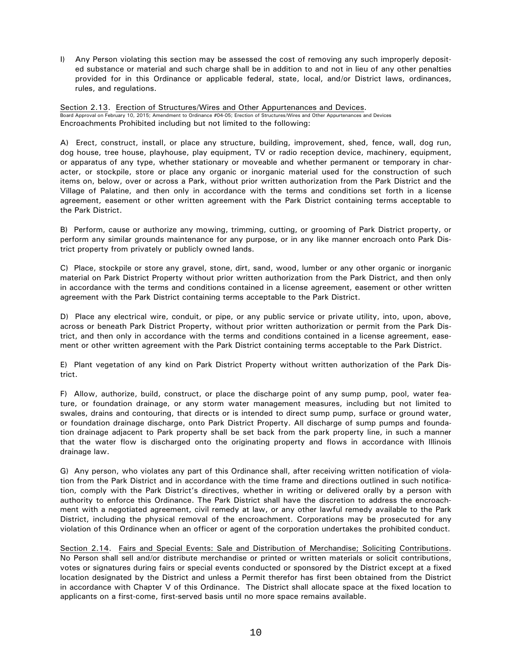I) Any Person violating this section may be assessed the cost of removing any such improperly deposited substance or material and such charge shall be in addition to and not in lieu of any other penalties provided for in this Ordinance or applicable federal, state, local, and/or District laws, ordinances, rules, and regulations.

Section 2.13. Erection of Structures/Wires and Other Appurtenances and Devices. Board Approval on February 10, 2015; Amendment to Ordinance #04-05; Erection of Structures/Wires and Other Appurtenances and Devices Encroachments Prohibited including but not limited to the following:

A) Erect, construct, install, or place any structure, building, improvement, shed, fence, wall, dog run, dog house, tree house, playhouse, play equipment, TV or radio reception device, machinery, equipment, or apparatus of any type, whether stationary or moveable and whether permanent or temporary in character, or stockpile, store or place any organic or inorganic material used for the construction of such items on, below, over or across a Park, without prior written authorization from the Park District and the Village of Palatine, and then only in accordance with the terms and conditions set forth in a license agreement, easement or other written agreement with the Park District containing terms acceptable to the Park District.

B) Perform, cause or authorize any mowing, trimming, cutting, or grooming of Park District property, or perform any similar grounds maintenance for any purpose, or in any like manner encroach onto Park District property from privately or publicly owned lands.

C) Place, stockpile or store any gravel, stone, dirt, sand, wood, lumber or any other organic or inorganic material on Park District Property without prior written authorization from the Park District, and then only in accordance with the terms and conditions contained in a license agreement, easement or other written agreement with the Park District containing terms acceptable to the Park District.

D) Place any electrical wire, conduit, or pipe, or any public service or private utility, into, upon, above, across or beneath Park District Property, without prior written authorization or permit from the Park District, and then only in accordance with the terms and conditions contained in a license agreement, easement or other written agreement with the Park District containing terms acceptable to the Park District.

E) Plant vegetation of any kind on Park District Property without written authorization of the Park District.

F) Allow, authorize, build, construct, or place the discharge point of any sump pump, pool, water feature, or foundation drainage, or any storm water management measures, including but not limited to swales, drains and contouring, that directs or is intended to direct sump pump, surface or ground water, or foundation drainage discharge, onto Park District Property. All discharge of sump pumps and foundation drainage adjacent to Park property shall be set back from the park property line, in such a manner that the water flow is discharged onto the originating property and flows in accordance with Illinois drainage law.

G) Any person, who violates any part of this Ordinance shall, after receiving written notification of violation from the Park District and in accordance with the time frame and directions outlined in such notification, comply with the Park District's directives, whether in writing or delivered orally by a person with authority to enforce this Ordinance. The Park District shall have the discretion to address the encroachment with a negotiated agreement, civil remedy at law, or any other lawful remedy available to the Park District, including the physical removal of the encroachment. Corporations may be prosecuted for any violation of this Ordinance when an officer or agent of the corporation undertakes the prohibited conduct.

Section 2.14. Fairs and Special Events: Sale and Distribution of Merchandise; Soliciting Contributions. No Person shall sell and/or distribute merchandise or printed or written materials or solicit contributions, votes or signatures during fairs or special events conducted or sponsored by the District except at a fixed location designated by the District and unless a Permit therefor has first been obtained from the District in accordance with Chapter V of this Ordinance. The District shall allocate space at the fixed location to applicants on a first-come, first-served basis until no more space remains available.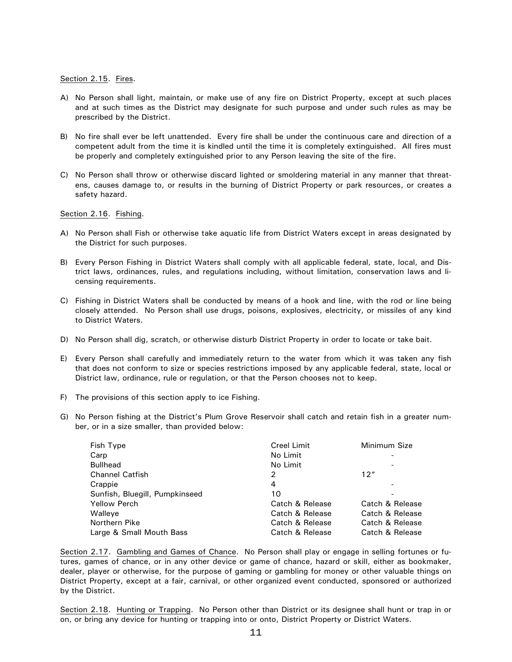Section 2.15. Fires.

- A) No Person shall light, maintain, or make use of any fire on District Property, except at such places and at such times as the District may designate for such purpose and under such rules as may be prescribed by the District.
- B) No fire shall ever be left unattended. Every fire shall be under the continuous care and direction of a competent adult from the time it is kindled until the time it is completely extinguished. All fires must be properly and completely extinguished prior to any Person leaving the site of the fire.
- C) No Person shall throw or otherwise discard lighted or smoldering material in any manner that threatens, causes damage to, or results in the burning of District Property or park resources, or creates a safety hazard.

#### Section 2.16. Fishing.

- A) No Person shall Fish or otherwise take aquatic life from District Waters except in areas designated by the District for such purposes.
- B) Every Person Fishing in District Waters shall comply with all applicable federal, state, local, and District laws, ordinances, rules, and regulations including, without limitation, conservation laws and licensing requirements.
- C) Fishing in District Waters shall be conducted by means of a hook and line, with the rod or line being closely attended. No Person shall use drugs, poisons, explosives, electricity, or missiles of any kind to District Waters.
- D) No Person shall dig, scratch, or otherwise disturb District Property in order to locate or take bait.
- E) Every Person shall carefully and immediately return to the water from which it was taken any fish that does not conform to size or species restrictions imposed by any applicable federal, state, local or District law, ordinance, rule or regulation, or that the Person chooses not to keep.
- F) The provisions of this section apply to ice Fishing.
- G) No Person fishing at the District's Plum Grove Reservoir shall catch and retain fish in a greater number, or in a size smaller, than provided below:

| Fish Type                      | <b>Creel Limit</b> | Minimum Size    |
|--------------------------------|--------------------|-----------------|
| Carp                           | No Limit           |                 |
| <b>Bullhead</b>                | No Limit           |                 |
| <b>Channel Catfish</b>         | 2                  | 12"             |
| Crappie                        | 4                  |                 |
| Sunfish, Bluegill, Pumpkinseed | 10                 |                 |
| <b>Yellow Perch</b>            | Catch & Release    | Catch & Release |
| Walleye                        | Catch & Release    | Catch & Release |
| Northern Pike                  | Catch & Release    | Catch & Release |
| Large & Small Mouth Bass       | Catch & Release    | Catch & Release |

Section 2.17. Gambling and Games of Chance. No Person shall play or engage in selling fortunes or futures, games of chance, or in any other device or game of chance, hazard or skill, either as bookmaker, dealer, player or otherwise, for the purpose of gaming or gambling for money or other valuable things on District Property, except at a fair, carnival, or other organized event conducted, sponsored or authorized by the District.

Section 2.18. Hunting or Trapping. No Person other than District or its designee shall hunt or trap in or on, or bring any device for hunting or trapping into or onto, District Property or District Waters.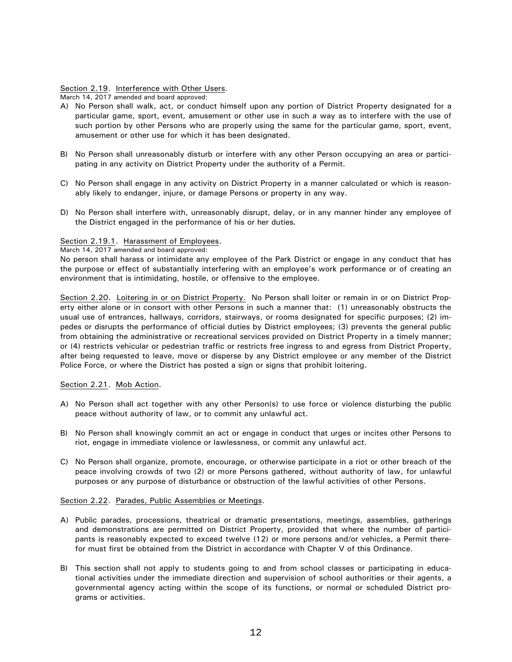### Section 2.19. Interference with Other Users.

March 14, 2017 amended and board approved:

- A) No Person shall walk, act, or conduct himself upon any portion of District Property designated for a particular game, sport, event, amusement or other use in such a way as to interfere with the use of such portion by other Persons who are properly using the same for the particular game, sport, event, amusement or other use for which it has been designated.
- B) No Person shall unreasonably disturb or interfere with any other Person occupying an area or participating in any activity on District Property under the authority of a Permit.
- C) No Person shall engage in any activity on District Property in a manner calculated or which is reasonably likely to endanger, injure, or damage Persons or property in any way.
- D) No Person shall interfere with, unreasonably disrupt, delay, or in any manner hinder any employee of the District engaged in the performance of his or her duties.

### Section 2.19.1. Harassment of Employees.

March 14, 2017 amended and board approved:

No person shall harass or intimidate any employee of the Park District or engage in any conduct that has the purpose or effect of substantially interfering with an employee's work performance or of creating an environment that is intimidating, hostile, or offensive to the employee.

Section 2.20. Loitering in or on District Property. No Person shall loiter or remain in or on District Property either alone or in consort with other Persons in such a manner that: (1) unreasonably obstructs the usual use of entrances, hallways, corridors, stairways, or rooms designated for specific purposes; (2) impedes or disrupts the performance of official duties by District employees; (3) prevents the general public from obtaining the administrative or recreational services provided on District Property in a timely manner; or (4) restricts vehicular or pedestrian traffic or restricts free ingress to and egress from District Property, after being requested to leave, move or disperse by any District employee or any member of the District Police Force, or where the District has posted a sign or signs that prohibit loitering.

### Section 2.21. Mob Action.

- A) No Person shall act together with any other Person(s) to use force or violence disturbing the public peace without authority of law, or to commit any unlawful act.
- B) No Person shall knowingly commit an act or engage in conduct that urges or incites other Persons to riot, engage in immediate violence or lawlessness, or commit any unlawful act.
- C) No Person shall organize, promote, encourage, or otherwise participate in a riot or other breach of the peace involving crowds of two (2) or more Persons gathered, without authority of law, for unlawful purposes or any purpose of disturbance or obstruction of the lawful activities of other Persons.

### Section 2.22. Parades, Public Assemblies or Meetings.

- A) Public parades, processions, theatrical or dramatic presentations, meetings, assemblies, gatherings and demonstrations are permitted on District Property, provided that where the number of participants is reasonably expected to exceed twelve (12) or more persons and/or vehicles, a Permit therefor must first be obtained from the District in accordance with Chapter V of this Ordinance.
- B) This section shall not apply to students going to and from school classes or participating in educational activities under the immediate direction and supervision of school authorities or their agents, a governmental agency acting within the scope of its functions, or normal or scheduled District programs or activities.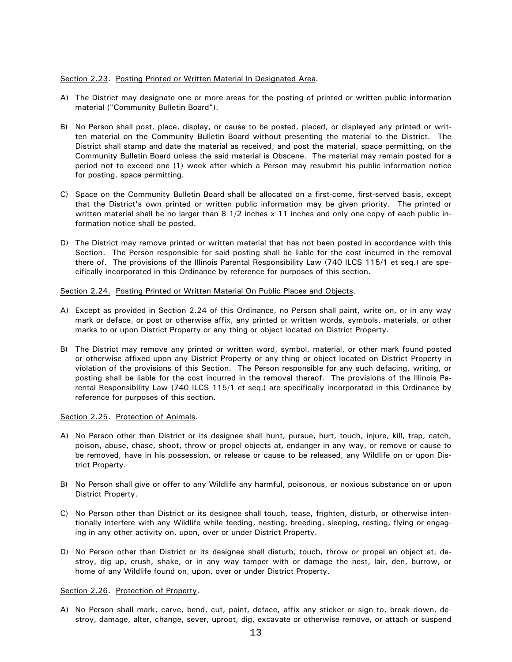### Section 2.23. Posting Printed or Written Material In Designated Area.

- A) The District may designate one or more areas for the posting of printed or written public information material ("Community Bulletin Board").
- B) No Person shall post, place, display, or cause to be posted, placed, or displayed any printed or written material on the Community Bulletin Board without presenting the material to the District. The District shall stamp and date the material as received, and post the material, space permitting, on the Community Bulletin Board unless the said material is Obscene. The material may remain posted for a period not to exceed one (1) week after which a Person may resubmit his public information notice for posting, space permitting.
- C) Space on the Community Bulletin Board shall be allocated on a first-come, first-served basis, except that the District's own printed or written public information may be given priority. The printed or written material shall be no larger than 8 1/2 inches x 11 inches and only one copy of each public information notice shall be posted.
- D) The District may remove printed or written material that has not been posted in accordance with this Section. The Person responsible for said posting shall be liable for the cost incurred in the removal there of. The provisions of the Illinois Parental Responsibility Law (740 ILCS 115/1 et seq.) are specifically incorporated in this Ordinance by reference for purposes of this section.

### Section 2.24. Posting Printed or Written Material On Public Places and Objects.

- A) Except as provided in Section 2.24 of this Ordinance, no Person shall paint, write on, or in any way mark or deface, or post or otherwise affix, any printed or written words, symbols, materials, or other marks to or upon District Property or any thing or object located on District Property.
- B) The District may remove any printed or written word, symbol, material, or other mark found posted or otherwise affixed upon any District Property or any thing or object located on District Property in violation of the provisions of this Section. The Person responsible for any such defacing, writing, or posting shall be liable for the cost incurred in the removal thereof. The provisions of the Illinois Parental Responsibility Law (740 ILCS 115/1 et seq.) are specifically incorporated in this Ordinance by reference for purposes of this section.

### Section 2.25. Protection of Animals.

- A) No Person other than District or its designee shall hunt, pursue, hurt, touch, injure, kill, trap, catch, poison, abuse, chase, shoot, throw or propel objects at, endanger in any way, or remove or cause to be removed, have in his possession, or release or cause to be released, any Wildlife on or upon District Property.
- B) No Person shall give or offer to any Wildlife any harmful, poisonous, or noxious substance on or upon District Property.
- C) No Person other than District or its designee shall touch, tease, frighten, disturb, or otherwise intentionally interfere with any Wildlife while feeding, nesting, breeding, sleeping, resting, flying or engaging in any other activity on, upon, over or under District Property.
- D) No Person other than District or its designee shall disturb, touch, throw or propel an object at, destroy, dig up, crush, shake, or in any way tamper with or damage the nest, lair, den, burrow, or home of any Wildlife found on, upon, over or under District Property.

### Section 2.26. Protection of Property.

A) No Person shall mark, carve, bend, cut, paint, deface, affix any sticker or sign to, break down, destroy, damage, alter, change, sever, uproot, dig, excavate or otherwise remove, or attach or suspend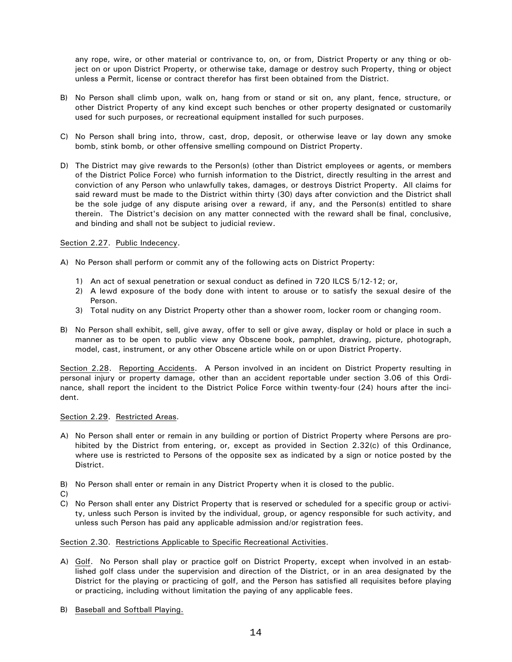any rope, wire, or other material or contrivance to, on, or from, District Property or any thing or object on or upon District Property, or otherwise take, damage or destroy such Property, thing or object unless a Permit, license or contract therefor has first been obtained from the District.

- B) No Person shall climb upon, walk on, hang from or stand or sit on, any plant, fence, structure, or other District Property of any kind except such benches or other property designated or customarily used for such purposes, or recreational equipment installed for such purposes.
- C) No Person shall bring into, throw, cast, drop, deposit, or otherwise leave or lay down any smoke bomb, stink bomb, or other offensive smelling compound on District Property.
- D) The District may give rewards to the Person(s) (other than District employees or agents, or members of the District Police Force) who furnish information to the District, directly resulting in the arrest and conviction of any Person who unlawfully takes, damages, or destroys District Property. All claims for said reward must be made to the District within thirty (30) days after conviction and the District shall be the sole judge of any dispute arising over a reward, if any, and the Person(s) entitled to share therein. The District's decision on any matter connected with the reward shall be final, conclusive, and binding and shall not be subject to judicial review.

### Section 2.27. Public Indecency.

- A) No Person shall perform or commit any of the following acts on District Property:
	- 1) An act of sexual penetration or sexual conduct as defined in 720 ILCS 5/12-12; or,
	- 2) A lewd exposure of the body done with intent to arouse or to satisfy the sexual desire of the Person.
	- 3) Total nudity on any District Property other than a shower room, locker room or changing room.
- B) No Person shall exhibit, sell, give away, offer to sell or give away, display or hold or place in such a manner as to be open to public view any Obscene book, pamphlet, drawing, picture, photograph, model, cast, instrument, or any other Obscene article while on or upon District Property.

Section 2.28. Reporting Accidents. A Person involved in an incident on District Property resulting in personal injury or property damage, other than an accident reportable under section 3.06 of this Ordinance, shall report the incident to the District Police Force within twenty-four (24) hours after the incident.

### Section 2.29. Restricted Areas.

- A) No Person shall enter or remain in any building or portion of District Property where Persons are prohibited by the District from entering, or, except as provided in Section 2.32(c) of this Ordinance, where use is restricted to Persons of the opposite sex as indicated by a sign or notice posted by the District.
- B) No Person shall enter or remain in any District Property when it is closed to the public.
- C)
- C) No Person shall enter any District Property that is reserved or scheduled for a specific group or activity, unless such Person is invited by the individual, group, or agency responsible for such activity, and unless such Person has paid any applicable admission and/or registration fees.

## Section 2.30. Restrictions Applicable to Specific Recreational Activities.

- A) Golf. No Person shall play or practice golf on District Property, except when involved in an established golf class under the supervision and direction of the District, or in an area designated by the District for the playing or practicing of golf, and the Person has satisfied all requisites before playing or practicing, including without limitation the paying of any applicable fees.
- B) Baseball and Softball Playing.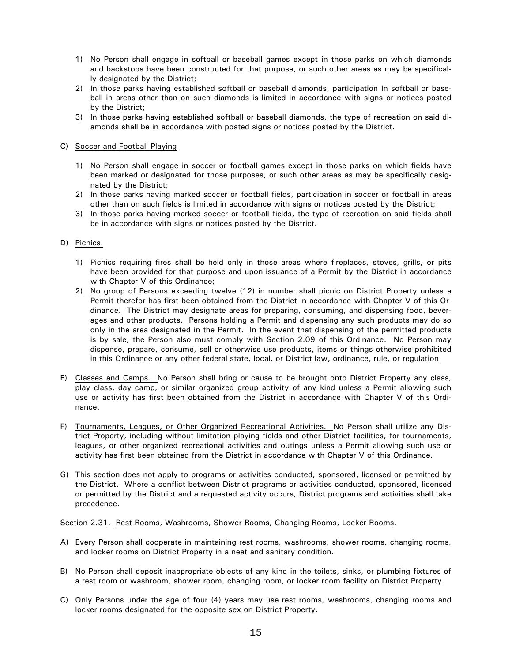- 1) No Person shall engage in softball or baseball games except in those parks on which diamonds and backstops have been constructed for that purpose, or such other areas as may be specifically designated by the District;
- 2) In those parks having established softball or baseball diamonds, participation In softball or baseball in areas other than on such diamonds is limited in accordance with signs or notices posted by the District:
- 3) In those parks having established softball or baseball diamonds, the type of recreation on said diamonds shall be in accordance with posted signs or notices posted by the District.

### C) Soccer and Football Playing

- 1) No Person shall engage in soccer or football games except in those parks on which fields have been marked or designated for those purposes, or such other areas as may be specifically designated by the District;
- 2) In those parks having marked soccer or football fields, participation in soccer or football in areas other than on such fields is limited in accordance with signs or notices posted by the District;
- 3) In those parks having marked soccer or football fields, the type of recreation on said fields shall be in accordance with signs or notices posted by the District.

### D) Picnics.

- 1) Picnics requiring fires shall be held only in those areas where fireplaces, stoves, grills, or pits have been provided for that purpose and upon issuance of a Permit by the District in accordance with Chapter V of this Ordinance;
- 2) No group of Persons exceeding twelve (12) in number shall picnic on District Property unless a Permit therefor has first been obtained from the District in accordance with Chapter V of this Ordinance. The District may designate areas for preparing, consuming, and dispensing food, beverages and other products. Persons holding a Permit and dispensing any such products may do so only in the area designated in the Permit. In the event that dispensing of the permitted products is by sale, the Person also must comply with Section 2.09 of this Ordinance. No Person may dispense, prepare, consume, sell or otherwise use products, items or things otherwise prohibited in this Ordinance or any other federal state, local, or District law, ordinance, rule, or regulation.
- E) Classes and Camps. No Person shall bring or cause to be brought onto District Property any class, play class, day camp, or similar organized group activity of any kind unless a Permit allowing such use or activity has first been obtained from the District in accordance with Chapter V of this Ordinance.
- F) Tournaments, Leagues, or Other Organized Recreational Activities. No Person shall utilize any District Property, including without limitation playing fields and other District facilities, for tournaments, leagues, or other organized recreational activities and outings unless a Permit allowing such use or activity has first been obtained from the District in accordance with Chapter V of this Ordinance.
- G) This section does not apply to programs or activities conducted, sponsored, licensed or permitted by the District. Where a conflict between District programs or activities conducted, sponsored, licensed or permitted by the District and a requested activity occurs, District programs and activities shall take precedence.

### Section 2.31. Rest Rooms, Washrooms, Shower Rooms, Changing Rooms, Locker Rooms.

- A) Every Person shall cooperate in maintaining rest rooms, washrooms, shower rooms, changing rooms, and locker rooms on District Property in a neat and sanitary condition.
- B) No Person shall deposit inappropriate objects of any kind in the toilets, sinks, or plumbing fixtures of a rest room or washroom, shower room, changing room, or locker room facility on District Property.
- C) Only Persons under the age of four (4) years may use rest rooms, washrooms, changing rooms and locker rooms designated for the opposite sex on District Property.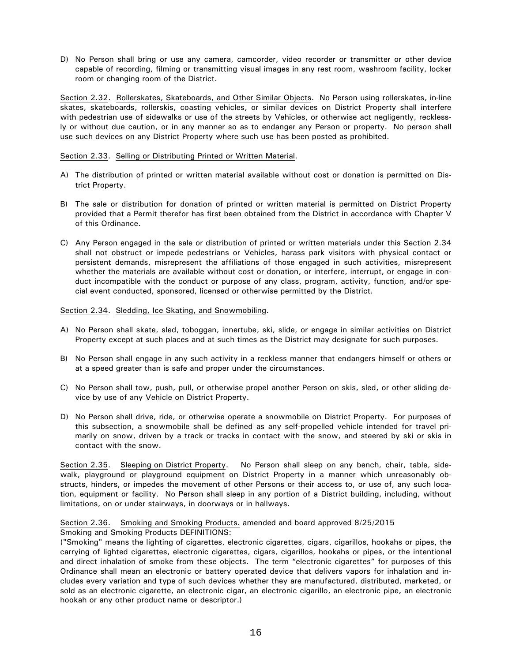D) No Person shall bring or use any camera, camcorder, video recorder or transmitter or other device capable of recording, filming or transmitting visual images in any rest room, washroom facility, locker room or changing room of the District.

Section 2.32. Rollerskates, Skateboards, and Other Similar Objects. No Person using rollerskates, in-line skates, skateboards, rollerskis, coasting vehicles, or similar devices on District Property shall interfere with pedestrian use of sidewalks or use of the streets by Vehicles, or otherwise act negligently, recklessly or without due caution, or in any manner so as to endanger any Person or property. No person shall use such devices on any District Property where such use has been posted as prohibited.

### Section 2.33. Selling or Distributing Printed or Written Material.

- A) The distribution of printed or written material available without cost or donation is permitted on District Property.
- B) The sale or distribution for donation of printed or written material is permitted on District Property provided that a Permit therefor has first been obtained from the District in accordance with Chapter V of this Ordinance.
- C) Any Person engaged in the sale or distribution of printed or written materials under this Section 2.34 shall not obstruct or impede pedestrians or Vehicles, harass park visitors with physical contact or persistent demands, misrepresent the affiliations of those engaged in such activities, misrepresent whether the materials are available without cost or donation, or interfere, interrupt, or engage in conduct incompatible with the conduct or purpose of any class, program, activity, function, and/or special event conducted, sponsored, licensed or otherwise permitted by the District.

### Section 2.34. Sledding, Ice Skating, and Snowmobiling.

- A) No Person shall skate, sled, toboggan, innertube, ski, slide, or engage in similar activities on District Property except at such places and at such times as the District may designate for such purposes.
- B) No Person shall engage in any such activity in a reckless manner that endangers himself or others or at a speed greater than is safe and proper under the circumstances.
- C) No Person shall tow, push, pull, or otherwise propel another Person on skis, sled, or other sliding device by use of any Vehicle on District Property.
- D) No Person shall drive, ride, or otherwise operate a snowmobile on District Property. For purposes of this subsection, a snowmobile shall be defined as any self-propelled vehicle intended for travel primarily on snow, driven by a track or tracks in contact with the snow, and steered by ski or skis in contact with the snow.

No Person shall sleep on any bench, chair, table, side-Section 2.35. Sleeping on District Property. walk, playground or playground equipment on District Property in a manner which unreasonably obstructs, hinders, or impedes the movement of other Persons or their access to, or use of, any such location, equipment or facility. No Person shall sleep in any portion of a District building, including, without limitations, on or under stairways, in doorways or in hallways.

### Section 2.36. Smoking and Smoking Products. amended and board approved 8/25/2015 Smoking and Smoking Products DEFINITIONS:

("Smoking" means the lighting of cigarettes, electronic cigarettes, cigars, cigarillos, hookahs or pipes, the carrying of lighted cigarettes, electronic cigarettes, cigars, cigarillos, hookahs or pipes, or the intentional and direct inhalation of smoke from these objects. The term "electronic cigarettes" for purposes of this Ordinance shall mean an electronic or battery operated device that delivers vapors for inhalation and includes every variation and type of such devices whether they are manufactured, distributed, marketed, or sold as an electronic cigarette, an electronic cigar, an electronic cigarillo, an electronic pipe, an electronic hookah or any other product name or descriptor.)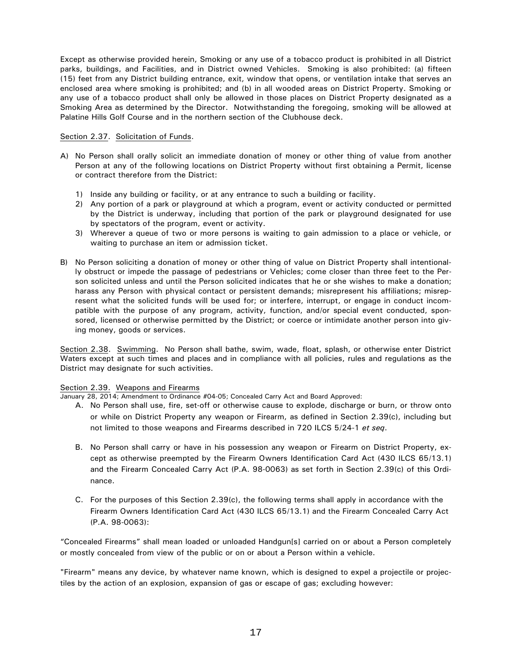Except as otherwise provided herein, Smoking or any use of a tobacco product is prohibited in all District parks, buildings, and Facilities, and in District owned Vehicles. Smoking is also prohibited: (a) fifteen (15) feet from any District building entrance, exit, window that opens, or ventilation intake that serves an enclosed area where smoking is prohibited; and (b) in all wooded areas on District Property. Smoking or any use of a tobacco product shall only be allowed in those places on District Property designated as a Smoking Area as determined by the Director. Notwithstanding the foregoing, smoking will be allowed at Palatine Hills Golf Course and in the northern section of the Clubhouse deck.

### Section 2.37. Solicitation of Funds.

- A) No Person shall orally solicit an immediate donation of money or other thing of value from another Person at any of the following locations on District Property without first obtaining a Permit, license or contract therefore from the District:
	- 1) Inside any building or facility, or at any entrance to such a building or facility.
	- 2) Any portion of a park or playground at which a program, event or activity conducted or permitted by the District is underway, including that portion of the park or playground designated for use by spectators of the program, event or activity.
	- 3) Wherever a queue of two or more persons is waiting to gain admission to a place or vehicle, or waiting to purchase an item or admission ticket.
- B) No Person soliciting a donation of money or other thing of value on District Property shall intentionally obstruct or impede the passage of pedestrians or Vehicles; come closer than three feet to the Person solicited unless and until the Person solicited indicates that he or she wishes to make a donation; harass any Person with physical contact or persistent demands; misrepresent his affiliations; misrepresent what the solicited funds will be used for; or interfere, interrupt, or engage in conduct incompatible with the purpose of any program, activity, function, and/or special event conducted, sponsored, licensed or otherwise permitted by the District; or coerce or intimidate another person into giving money, goods or services.

Section 2.38. Swimming. No Person shall bathe, swim, wade, float, splash, or otherwise enter District Waters except at such times and places and in compliance with all policies, rules and regulations as the District may designate for such activities.

### Section 2.39. Weapons and Firearms

January 28, 2014; Amendment to Ordinance #04-05; Concealed Carry Act and Board Approved:

- A. No Person shall use, fire, set-off or otherwise cause to explode, discharge or burn, or throw onto or while on District Property any weapon or Firearm, as defined in Section 2.39(c), including but not limited to those weapons and Firearms described in 720 ILCS 5/24-1 et seq.
- B. No Person shall carry or have in his possession any weapon or Firearm on District Property, except as otherwise preempted by the Firearm Owners Identification Card Act (430 ILCS 65/13.1) and the Firearm Concealed Carry Act (P.A. 98-0063) as set forth in Section 2.39(c) of this Ordinance.
- C. For the purposes of this Section 2.39(c), the following terms shall apply in accordance with the Firearm Owners Identification Card Act (430 ILCS 65/13.1) and the Firearm Concealed Carry Act  $(P.A. 98-0063)$ :

"Concealed Firearms" shall mean loaded or unloaded Handgun[s] carried on or about a Person completely or mostly concealed from view of the public or on or about a Person within a vehicle.

"Firearm" means any device, by whatever name known, which is designed to expel a projectile or projectiles by the action of an explosion, expansion of gas or escape of gas; excluding however: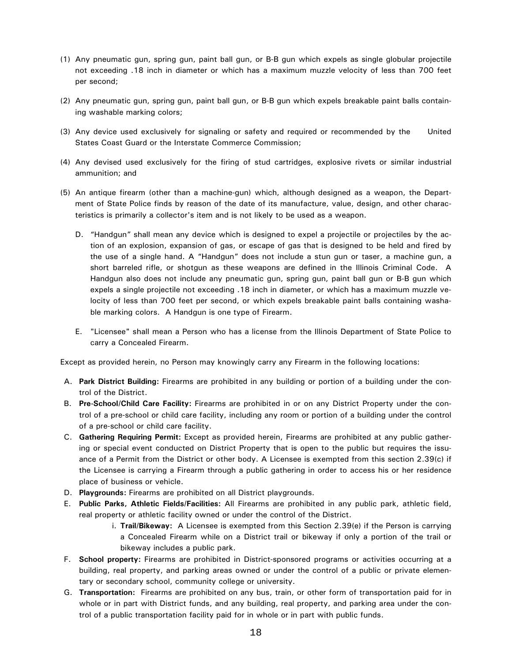- (1) Any pneumatic gun, spring gun, paint ball gun, or B-B gun which expels as single globular projectile not exceeding .18 inch in diameter or which has a maximum muzzle velocity of less than 700 feet per second;
- (2) Any pneumatic gun, spring gun, paint ball gun, or B-B gun which expels breakable paint balls containing washable marking colors;
- (3) Any device used exclusively for signaling or safety and required or recommended by the United States Coast Guard or the Interstate Commerce Commission;
- (4) Any devised used exclusively for the firing of stud cartridges, explosive rivets or similar industrial ammunition; and
- (5) An antique firearm (other than a machine-gun) which, although designed as a weapon, the Department of State Police finds by reason of the date of its manufacture, value, design, and other characteristics is primarily a collector's item and is not likely to be used as a weapon.
	- D. "Handgun" shall mean any device which is designed to expel a projectile or projectiles by the action of an explosion, expansion of gas, or escape of gas that is designed to be held and fired by the use of a single hand. A "Handgun" does not include a stun gun or taser, a machine gun, a short barreled rifle, or shotgun as these weapons are defined in the Illinois Criminal Code. A Handgun also does not include any pneumatic gun, spring gun, paint ball gun or B-B gun which expels a single projectile not exceeding .18 inch in diameter, or which has a maximum muzzle velocity of less than 700 feet per second, or which expels breakable paint balls containing washable marking colors. A Handgun is one type of Firearm.
	- E. "Licensee" shall mean a Person who has a license from the Illinois Department of State Police to carry a Concealed Firearm.

Except as provided herein, no Person may knowingly carry any Firearm in the following locations:

- A. Park District Building: Firearms are prohibited in any building or portion of a building under the control of the District.
- B. Pre-School/Child Care Facility: Firearms are prohibited in or on any District Property under the control of a pre-school or child care facility, including any room or portion of a building under the control of a pre-school or child care facility.
- C. Gathering Requiring Permit: Except as provided herein, Firearms are prohibited at any public gathering or special event conducted on District Property that is open to the public but requires the issuance of a Permit from the District or other body. A Licensee is exempted from this section 2.39(c) if the Licensee is carrying a Firearm through a public gathering in order to access his or her residence place of business or vehicle.
- D. Playgrounds: Firearms are prohibited on all District playgrounds.
- E. Public Parks, Athletic Fields/Facilities: All Firearms are prohibited in any public park, athletic field, real property or athletic facility owned or under the control of the District.
	- i. Trail/Bikeway: A Licensee is exempted from this Section 2.39(e) if the Person is carrying a Concealed Firearm while on a District trail or bikeway if only a portion of the trail or bikeway includes a public park.
- F. School property: Firearms are prohibited in District-sponsored programs or activities occurring at a building, real property, and parking areas owned or under the control of a public or private elementary or secondary school, community college or university.
- G. Transportation: Firearms are prohibited on any bus, train, or other form of transportation paid for in whole or in part with District funds, and any building, real property, and parking area under the control of a public transportation facility paid for in whole or in part with public funds.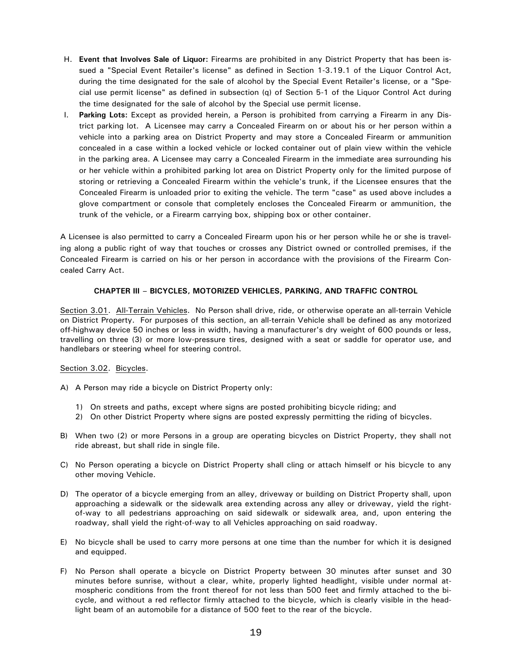- H. Event that Involves Sale of Liquor: Firearms are prohibited in any District Property that has been issued a "Special Event Retailer's license" as defined in Section 1-3.19.1 of the Liquor Control Act, during the time designated for the sale of alcohol by the Special Event Retailer's license, or a "Special use permit license" as defined in subsection (q) of Section 5-1 of the Liquor Control Act during the time designated for the sale of alcohol by the Special use permit license.
- I. Parking Lots: Except as provided herein, a Person is prohibited from carrying a Firearm in any District parking lot. A Licensee may carry a Concealed Firearm on or about his or her person within a vehicle into a parking area on District Property and may store a Concealed Firearm or ammunition concealed in a case within a locked vehicle or locked container out of plain view within the vehicle in the parking area. A Licensee may carry a Concealed Firearm in the immediate area surrounding his or her vehicle within a prohibited parking lot area on District Property only for the limited purpose of storing or retrieving a Concealed Firearm within the vehicle's trunk, if the Licensee ensures that the Concealed Firearm is unloaded prior to exiting the vehicle. The term "case" as used above includes a glove compartment or console that completely encloses the Concealed Firearm or ammunition, the trunk of the vehicle, or a Firearm carrying box, shipping box or other container.

A Licensee is also permitted to carry a Concealed Firearm upon his or her person while he or she is traveling along a public right of way that touches or crosses any District owned or controlled premises, if the Concealed Firearm is carried on his or her person in accordance with the provisions of the Firearm Concealed Carry Act.

## CHAPTER III - BICYCLES, MOTORIZED VEHICLES, PARKING, AND TRAFFIC CONTROL

Section 3.01. All-Terrain Vehicles. No Person shall drive, ride, or otherwise operate an all-terrain Vehicle on District Property. For purposes of this section, an all-terrain Vehicle shall be defined as any motorized off-highway device 50 inches or less in width, having a manufacturer's dry weight of 600 pounds or less, travelling on three (3) or more low-pressure tires, designed with a seat or saddle for operator use, and handlebars or steering wheel for steering control.

## Section 3.02. Bicycles.

- A) A Person may ride a bicycle on District Property only:
	- 1) On streets and paths, except where signs are posted prohibiting bicycle riding; and
	- 2) On other District Property where signs are posted expressly permitting the riding of bicycles.
- B) When two (2) or more Persons in a group are operating bicycles on District Property, they shall not ride abreast, but shall ride in single file.
- C) No Person operating a bicycle on District Property shall cling or attach himself or his bicycle to any other moving Vehicle.
- D) The operator of a bicycle emerging from an alley, driveway or building on District Property shall, upon approaching a sidewalk or the sidewalk area extending across any alley or driveway, yield the rightof-way to all pedestrians approaching on said sidewalk or sidewalk area, and, upon entering the roadway, shall yield the right-of-way to all Vehicles approaching on said roadway.
- E) No bicycle shall be used to carry more persons at one time than the number for which it is designed and equipped.
- F) No Person shall operate a bicycle on District Property between 30 minutes after sunset and 30 minutes before sunrise, without a clear, white, properly lighted headlight, visible under normal atmospheric conditions from the front thereof for not less than 500 feet and firmly attached to the bicycle, and without a red reflector firmly attached to the bicycle, which is clearly visible in the headlight beam of an automobile for a distance of 500 feet to the rear of the bicycle.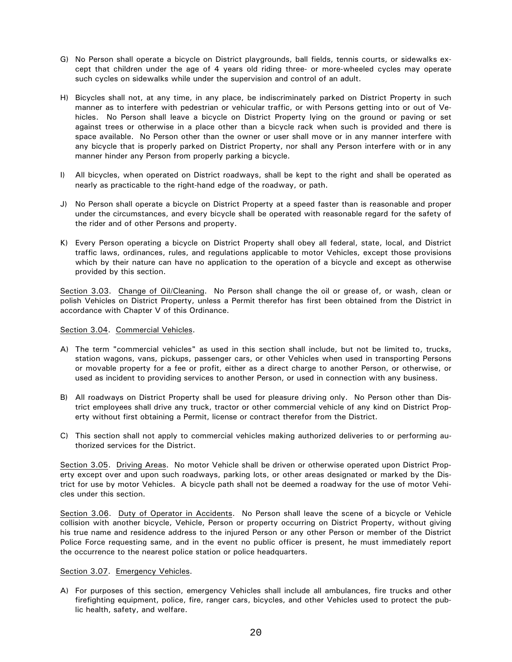- G) No Person shall operate a bicycle on District playgrounds, ball fields, tennis courts, or sidewalks except that children under the age of 4 years old riding three- or more-wheeled cycles may operate such cycles on sidewalks while under the supervision and control of an adult.
- H) Bicycles shall not, at any time, in any place, be indiscriminately parked on District Property in such manner as to interfere with pedestrian or vehicular traffic, or with Persons getting into or out of Vehicles. No Person shall leave a bicycle on District Property lying on the ground or paving or set against trees or otherwise in a place other than a bicycle rack when such is provided and there is space available. No Person other than the owner or user shall move or in any manner interfere with any bicycle that is properly parked on District Property, nor shall any Person interfere with or in any manner hinder any Person from properly parking a bicycle.
- I) All bicycles, when operated on District roadways, shall be kept to the right and shall be operated as nearly as practicable to the right-hand edge of the roadway, or path.
- J) No Person shall operate a bicycle on District Property at a speed faster than is reasonable and proper under the circumstances, and every bicycle shall be operated with reasonable regard for the safety of the rider and of other Persons and property.
- K) Every Person operating a bicycle on District Property shall obey all federal, state, local, and District traffic laws, ordinances, rules, and regulations applicable to motor Vehicles, except those provisions which by their nature can have no application to the operation of a bicycle and except as otherwise provided by this section.

Section 3.03. Change of Oil/Cleaning. No Person shall change the oil or grease of, or wash, clean or polish Vehicles on District Property, unless a Permit therefor has first been obtained from the District in accordance with Chapter V of this Ordinance.

### Section 3.04. Commercial Vehicles.

- A) The term "commercial vehicles" as used in this section shall include, but not be limited to, trucks, station wagons, vans, pickups, passenger cars, or other Vehicles when used in transporting Persons or movable property for a fee or profit, either as a direct charge to another Person, or otherwise, or used as incident to providing services to another Person, or used in connection with any business.
- B) All roadways on District Property shall be used for pleasure driving only. No Person other than District employees shall drive any truck, tractor or other commercial vehicle of any kind on District Property without first obtaining a Permit, license or contract therefor from the District.
- C) This section shall not apply to commercial vehicles making authorized deliveries to or performing authorized services for the District.

Section 3.05. Driving Areas. No motor Vehicle shall be driven or otherwise operated upon District Property except over and upon such roadways, parking lots, or other areas designated or marked by the District for use by motor Vehicles. A bicycle path shall not be deemed a roadway for the use of motor Vehicles under this section.

Section 3.06. Duty of Operator in Accidents. No Person shall leave the scene of a bicycle or Vehicle collision with another bicycle, Vehicle, Person or property occurring on District Property, without giving his true name and residence address to the injured Person or any other Person or member of the District Police Force requesting same, and in the event no public officer is present, he must immediately report the occurrence to the nearest police station or police headquarters.

### Section 3.07. Emergency Vehicles.

A) For purposes of this section, emergency Vehicles shall include all ambulances, fire trucks and other firefighting equipment, police, fire, ranger cars, bicycles, and other Vehicles used to protect the public health, safety, and welfare.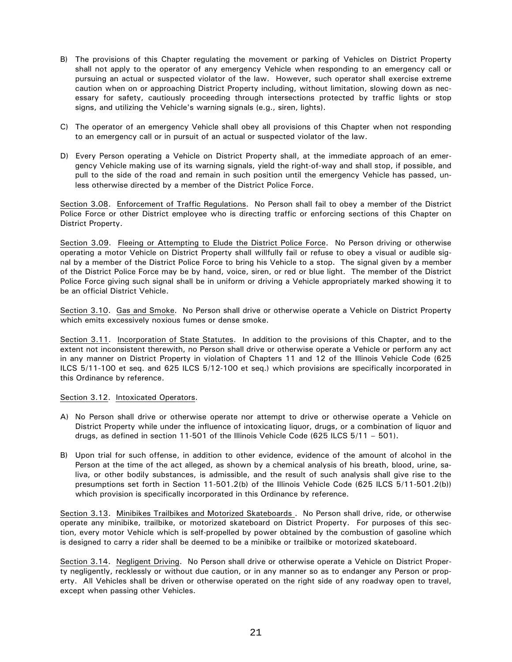- B) The provisions of this Chapter regulating the movement or parking of Vehicles on District Property shall not apply to the operator of any emergency Vehicle when responding to an emergency call or pursuing an actual or suspected violator of the law. However, such operator shall exercise extreme caution when on or approaching District Property including, without limitation, slowing down as necessary for safety, cautiously proceeding through intersections protected by traffic lights or stop signs, and utilizing the Vehicle's warning signals (e.g., siren, lights).
- C) The operator of an emergency Vehicle shall obey all provisions of this Chapter when not responding to an emergency call or in pursuit of an actual or suspected violator of the law.
- D) Every Person operating a Vehicle on District Property shall, at the immediate approach of an emergency Vehicle making use of its warning signals, yield the right-of-way and shall stop, if possible, and pull to the side of the road and remain in such position until the emergency Vehicle has passed, unless otherwise directed by a member of the District Police Force.

Section 3.08. Enforcement of Traffic Regulations. No Person shall fail to obey a member of the District Police Force or other District employee who is directing traffic or enforcing sections of this Chapter on District Property.

Section 3.09. Fleeing or Attempting to Elude the District Police Force. No Person driving or otherwise operating a motor Vehicle on District Property shall willfully fail or refuse to obey a visual or audible signal by a member of the District Police Force to bring his Vehicle to a stop. The signal given by a member of the District Police Force may be by hand, voice, siren, or red or blue light. The member of the District Police Force giving such signal shall be in uniform or driving a Vehicle appropriately marked showing it to be an official District Vehicle.

Section 3.10. Gas and Smoke. No Person shall drive or otherwise operate a Vehicle on District Property which emits excessively noxious fumes or dense smoke.

Section 3.11. Incorporation of State Statutes. In addition to the provisions of this Chapter, and to the extent not inconsistent therewith, no Person shall drive or otherwise operate a Vehicle or perform any act in any manner on District Property in violation of Chapters 11 and 12 of the Illinois Vehicle Code (625 ILCS  $5/11$ -100 et seq. and 625 ILCS  $5/12$ -100 et seq.) which provisions are specifically incorporated in this Ordinance by reference.

### Section 3.12. Intoxicated Operators.

- A) No Person shall drive or otherwise operate nor attempt to drive or otherwise operate a Vehicle on District Property while under the influence of intoxicating liquor, drugs, or a combination of liquor and drugs, as defined in section 11-501 of the Illinois Vehicle Code (625 ILCS  $5/11 - 501$ ).
- B) Upon trial for such offense, in addition to other evidence, evidence of the amount of alcohol in the Person at the time of the act alleged, as shown by a chemical analysis of his breath, blood, urine, saliva, or other bodily substances, is admissible, and the result of such analysis shall give rise to the presumptions set forth in Section 11-501.2(b) of the Illinois Vehicle Code (625 ILCS  $5/11$ -501.2(b)) which provision is specifically incorporated in this Ordinance by reference.

Section 3.13. Minibikes Trailbikes and Motorized Skateboards . No Person shall drive, ride, or otherwise operate any minibike, trailbike, or motorized skateboard on District Property. For purposes of this section, every motor Vehicle which is self-propelled by power obtained by the combustion of gasoline which is designed to carry a rider shall be deemed to be a minibike or trailbike or motorized skateboard.

Section 3.14. Negligent Driving. No Person shall drive or otherwise operate a Vehicle on District Property negligently, recklessly or without due caution, or in any manner so as to endanger any Person or property. All Vehicles shall be driven or otherwise operated on the right side of any roadway open to travel, except when passing other Vehicles.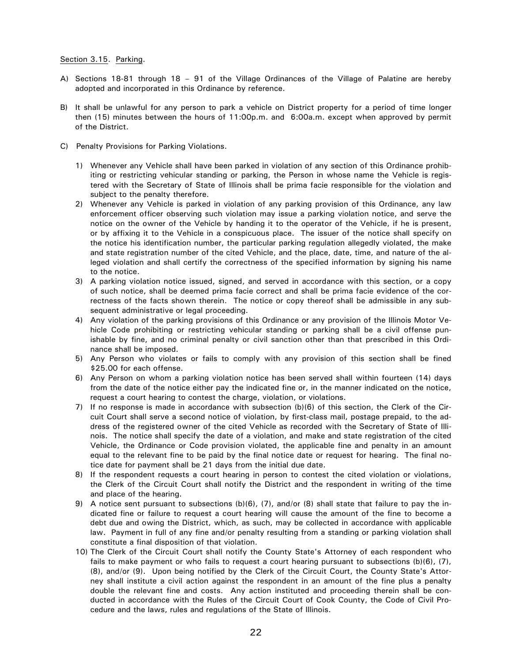### Section 3.15. Parking.

- A) Sections 18-81 through 18 91 of the Village Ordinances of the Village of Palatine are hereby adopted and incorporated in this Ordinance by reference.
- B) It shall be unlawful for any person to park a vehicle on District property for a period of time longer then (15) minutes between the hours of 11:00p.m. and 6:00a.m. except when approved by permit of the District.
- C) Penalty Provisions for Parking Violations.
	- 1) Whenever any Vehicle shall have been parked in violation of any section of this Ordinance prohibiting or restricting vehicular standing or parking, the Person in whose name the Vehicle is registered with the Secretary of State of Illinois shall be prima facie responsible for the violation and subject to the penalty therefore.
	- 2) Whenever any Vehicle is parked in violation of any parking provision of this Ordinance, any law enforcement officer observing such violation may issue a parking violation notice, and serve the notice on the owner of the Vehicle by handing it to the operator of the Vehicle, if he is present, or by affixing it to the Vehicle in a conspicuous place. The issuer of the notice shall specify on the notice his identification number, the particular parking regulation allegedly violated, the make and state registration number of the cited Vehicle, and the place, date, time, and nature of the alleged violation and shall certify the correctness of the specified information by signing his name to the notice.
	- 3) A parking violation notice issued, signed, and served in accordance with this section, or a copy of such notice, shall be deemed prima facie correct and shall be prima facie evidence of the correctness of the facts shown therein. The notice or copy thereof shall be admissible in any subsequent administrative or legal proceeding.
	- 4) Any violation of the parking provisions of this Ordinance or any provision of the Illinois Motor Vehicle Code prohibiting or restricting vehicular standing or parking shall be a civil offense punishable by fine, and no criminal penalty or civil sanction other than that prescribed in this Ordinance shall be imposed.
	- 5) Any Person who violates or fails to comply with any provision of this section shall be fined \$25.00 for each offense.
	- 6) Any Person on whom a parking violation notice has been served shall within fourteen (14) days from the date of the notice either pay the indicated fine or, in the manner indicated on the notice, request a court hearing to contest the charge, violation, or violations.
	- 7) If no response is made in accordance with subsection (b)(6) of this section, the Clerk of the Circuit Court shall serve a second notice of violation, by first-class mail, postage prepaid, to the address of the registered owner of the cited Vehicle as recorded with the Secretary of State of Illinois. The notice shall specify the date of a violation, and make and state registration of the cited Vehicle, the Ordinance or Code provision violated, the applicable fine and penalty in an amount equal to the relevant fine to be paid by the final notice date or request for hearing. The final notice date for payment shall be 21 days from the initial due date.
	- 8) If the respondent requests a court hearing in person to contest the cited violation or violations, the Clerk of the Circuit Court shall notify the District and the respondent in writing of the time and place of the hearing.
	- 9) A notice sent pursuant to subsections (b)(6), (7), and/or (8) shall state that failure to pay the indicated fine or failure to request a court hearing will cause the amount of the fine to become a debt due and owing the District, which, as such, may be collected in accordance with applicable law. Payment in full of any fine and/or penalty resulting from a standing or parking violation shall constitute a final disposition of that violation.
	- 10) The Clerk of the Circuit Court shall notify the County State's Attorney of each respondent who fails to make payment or who fails to request a court hearing pursuant to subsections (b)(6), (7), (8), and/or (9). Upon being notified by the Clerk of the Circuit Court, the County State's Attorney shall institute a civil action against the respondent in an amount of the fine plus a penalty double the relevant fine and costs. Any action instituted and proceeding therein shall be conducted in accordance with the Rules of the Circuit Court of Cook County, the Code of Civil Procedure and the laws, rules and regulations of the State of Illinois.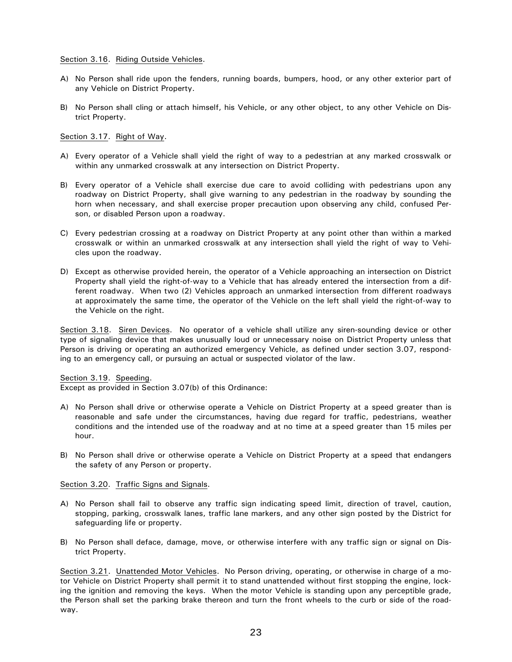#### Section 3.16. Riding Outside Vehicles.

- A) No Person shall ride upon the fenders, running boards, bumpers, hood, or any other exterior part of any Vehicle on District Property.
- B) No Person shall cling or attach himself, his Vehicle, or any other object, to any other Vehicle on District Property.

### Section 3.17. Right of Way.

- A) Every operator of a Vehicle shall yield the right of way to a pedestrian at any marked crosswalk or within any unmarked crosswalk at any intersection on District Property.
- B) Every operator of a Vehicle shall exercise due care to avoid colliding with pedestrians upon any roadway on District Property, shall give warning to any pedestrian in the roadway by sounding the horn when necessary, and shall exercise proper precaution upon observing any child, confused Person, or disabled Person upon a roadway.
- C) Every pedestrian crossing at a roadway on District Property at any point other than within a marked crosswalk or within an unmarked crosswalk at any intersection shall yield the right of way to Vehicles upon the roadway.
- D) Except as otherwise provided herein, the operator of a Vehicle approaching an intersection on District Property shall yield the right-of-way to a Vehicle that has already entered the intersection from a different roadway. When two (2) Vehicles approach an unmarked intersection from different roadways at approximately the same time, the operator of the Vehicle on the left shall yield the right-of-way to the Vehicle on the right.

Section 3.18. Siren Devices. No operator of a vehicle shall utilize any siren-sounding device or other type of signaling device that makes unusually loud or unnecessary noise on District Property unless that Person is driving or operating an authorized emergency Vehicle, as defined under section 3.07, responding to an emergency call, or pursuing an actual or suspected violator of the law.

Section 3.19. Speeding.

Except as provided in Section 3.07(b) of this Ordinance:

- A) No Person shall drive or otherwise operate a Vehicle on District Property at a speed greater than is reasonable and safe under the circumstances, having due regard for traffic, pedestrians, weather conditions and the intended use of the roadway and at no time at a speed greater than 15 miles per hour.
- B) No Person shall drive or otherwise operate a Vehicle on District Property at a speed that endangers the safety of any Person or property.

#### Section 3.20. Traffic Signs and Signals.

- A) No Person shall fail to observe any traffic sign indicating speed limit, direction of travel, caution, stopping, parking, crosswalk lanes, traffic lane markers, and any other sign posted by the District for safequarding life or property.
- B) No Person shall deface, damage, move, or otherwise interfere with any traffic sign or signal on District Property.

Section 3.21. Unattended Motor Vehicles. No Person driving, operating, or otherwise in charge of a motor Vehicle on District Property shall permit it to stand unattended without first stopping the engine, locking the ignition and removing the keys. When the motor Vehicle is standing upon any perceptible grade, the Person shall set the parking brake thereon and turn the front wheels to the curb or side of the roadway.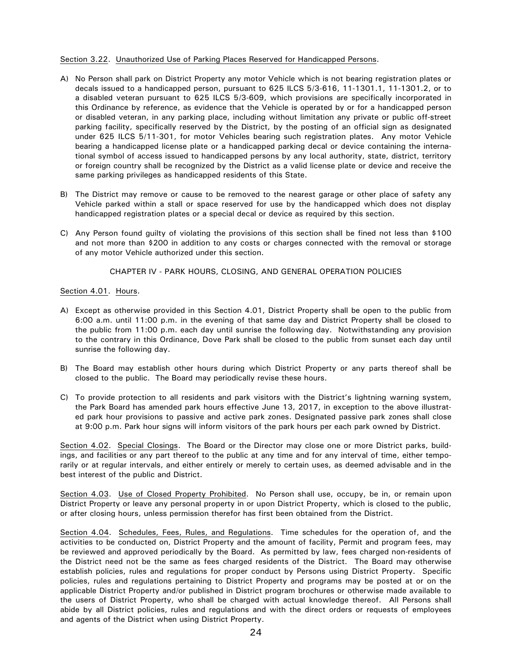### Section 3.22. Unauthorized Use of Parking Places Reserved for Handicapped Persons.

- A) No Person shall park on District Property any motor Vehicle which is not bearing registration plates or decals issued to a handicapped person, pursuant to 625 ILCS 5/3-616, 11-1301.1, 11-1301.2, or to a disabled veteran pursuant to 625 ILCS 5/3-609, which provisions are specifically incorporated in this Ordinance by reference, as evidence that the Vehicle is operated by or for a handicapped person or disabled veteran, in any parking place, including without limitation any private or public off-street parking facility, specifically reserved by the District, by the posting of an official sign as designated under 625 ILCS 5/11-301, for motor Vehicles bearing such registration plates. Any motor Vehicle bearing a handicapped license plate or a handicapped parking decal or device containing the international symbol of access issued to handicapped persons by any local authority, state, district, territory or foreign country shall be recognized by the District as a valid license plate or device and receive the same parking privileges as handicapped residents of this State.
- B) The District may remove or cause to be removed to the nearest garage or other place of safety any Vehicle parked within a stall or space reserved for use by the handicapped which does not display handicapped registration plates or a special decal or device as required by this section.
- C) Any Person found guilty of violating the provisions of this section shall be fined not less than \$100 and not more than \$200 in addition to any costs or charges connected with the removal or storage of any motor Vehicle authorized under this section.

### CHAPTER IV - PARK HOURS, CLOSING, AND GENERAL OPERATION POLICIES

### Section 4.01. Hours.

- A) Except as otherwise provided in this Section 4.01, District Property shall be open to the public from 6:00 a.m. until 11:00 p.m. in the evening of that same day and District Property shall be closed to the public from 11:00 p.m. each day until sunrise the following day. Notwithstanding any provision to the contrary in this Ordinance, Dove Park shall be closed to the public from sunset each day until sunrise the following day.
- B) The Board may establish other hours during which District Property or any parts thereof shall be closed to the public. The Board may periodically revise these hours.
- C) To provide protection to all residents and park visitors with the District's lightning warning system, the Park Board has amended park hours effective June 13, 2017, in exception to the above illustrated park hour provisions to passive and active park zones. Designated passive park zones shall close at 9:00 p.m. Park hour signs will inform visitors of the park hours per each park owned by District.

Section 4.02. Special Closings. The Board or the Director may close one or more District parks, buildings, and facilities or any part thereof to the public at any time and for any interval of time, either temporarily or at regular intervals, and either entirely or merely to certain uses, as deemed advisable and in the best interest of the public and District.

Section 4.03. Use of Closed Property Prohibited. No Person shall use, occupy, be in, or remain upon District Property or leave any personal property in or upon District Property, which is closed to the public, or after closing hours, unless permission therefor has first been obtained from the District.

Section 4.04. Schedules, Fees, Rules, and Regulations. Time schedules for the operation of, and the activities to be conducted on, District Property and the amount of facility, Permit and program fees, may be reviewed and approved periodically by the Board. As permitted by law, fees charged non-residents of the District need not be the same as fees charged residents of the District. The Board may otherwise establish policies, rules and regulations for proper conduct by Persons using District Property. Specific policies, rules and regulations pertaining to District Property and programs may be posted at or on the applicable District Property and/or published in District program brochures or otherwise made available to the users of District Property, who shall be charged with actual knowledge thereof. All Persons shall abide by all District policies, rules and regulations and with the direct orders or requests of employees and agents of the District when using District Property.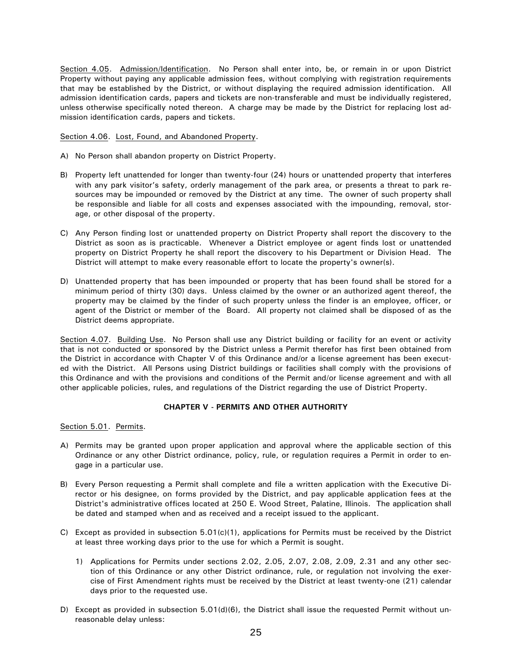Section 4.05. Admission/Identification. No Person shall enter into, be, or remain in or upon District Property without paying any applicable admission fees, without complying with registration requirements that may be established by the District, or without displaying the required admission identification. All admission identification cards, papers and tickets are non-transferable and must be individually registered, unless otherwise specifically noted thereon. A charge may be made by the District for replacing lost admission identification cards, papers and tickets.

Section 4.06. Lost, Found, and Abandoned Property.

- A) No Person shall abandon property on District Property.
- B) Property left unattended for longer than twenty-four (24) hours or unattended property that interferes with any park visitor's safety, orderly management of the park area, or presents a threat to park resources may be impounded or removed by the District at any time. The owner of such property shall be responsible and liable for all costs and expenses associated with the impounding, removal, storage, or other disposal of the property.
- C) Any Person finding lost or unattended property on District Property shall report the discovery to the District as soon as is practicable. Whenever a District employee or agent finds lost or unattended property on District Property he shall report the discovery to his Department or Division Head. The District will attempt to make every reasonable effort to locate the property's owner(s).
- D) Unattended property that has been impounded or property that has been found shall be stored for a minimum period of thirty (30) days. Unless claimed by the owner or an authorized agent thereof, the property may be claimed by the finder of such property unless the finder is an employee, officer, or agent of the District or member of the Board. All property not claimed shall be disposed of as the District deems appropriate.

Section 4.07. Building Use. No Person shall use any District building or facility for an event or activity that is not conducted or sponsored by the District unless a Permit therefor has first been obtained from the District in accordance with Chapter V of this Ordinance and/or a license agreement has been executed with the District. All Persons using District buildings or facilities shall comply with the provisions of this Ordinance and with the provisions and conditions of the Permit and/or license agreement and with all other applicable policies, rules, and regulations of the District regarding the use of District Property.

## CHAPTER V - PERMITS AND OTHER AUTHORITY

Section 5.01. Permits.

- A) Permits may be granted upon proper application and approval where the applicable section of this Ordinance or any other District ordinance, policy, rule, or regulation requires a Permit in order to engage in a particular use.
- B) Every Person requesting a Permit shall complete and file a written application with the Executive Director or his designee, on forms provided by the District, and pay applicable application fees at the District's administrative offices located at 250 E. Wood Street, Palatine, Illinois. The application shall be dated and stamped when and as received and a receipt issued to the applicant.
- C) Except as provided in subsection  $5.01(c)(1)$ , applications for Permits must be received by the District at least three working days prior to the use for which a Permit is sought.
	- 1) Applications for Permits under sections 2.02, 2.05, 2.07, 2.08, 2.09, 2.31 and any other section of this Ordinance or any other District ordinance, rule, or regulation not involving the exercise of First Amendment rights must be received by the District at least twenty-one (21) calendar days prior to the requested use.
- D) Except as provided in subsection 5.01(d)(6), the District shall issue the requested Permit without unreasonable delay unless: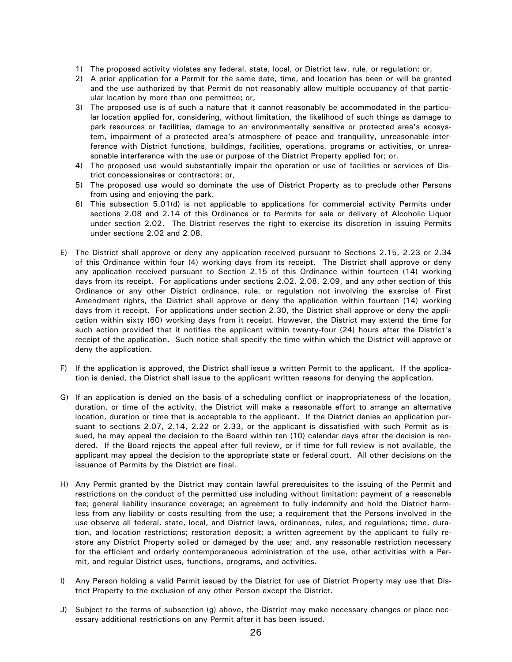- 1) The proposed activity violates any federal, state, local, or District law, rule, or regulation; or,
- 2) A prior application for a Permit for the same date, time, and location has been or will be granted and the use authorized by that Permit do not reasonably allow multiple occupancy of that particular location by more than one permittee; or,
- 3) The proposed use is of such a nature that it cannot reasonably be accommodated in the particular location applied for, considering, without limitation, the likelihood of such things as damage to park resources or facilities, damage to an environmentally sensitive or protected area's ecosystem, impairment of a protected area's atmosphere of peace and tranquility, unreasonable interference with District functions, buildings, facilities, operations, programs or activities, or unreasonable interference with the use or purpose of the District Property applied for; or,
- 4) The proposed use would substantially impair the operation or use of facilities or services of District concessionaires or contractors; or,
- 5) The proposed use would so dominate the use of District Property as to preclude other Persons from using and enjoying the park.
- 6) This subsection 5.01(d) is not applicable to applications for commercial activity Permits under sections 2.08 and 2.14 of this Ordinance or to Permits for sale or delivery of Alcoholic Liquor under section 2.02. The District reserves the right to exercise its discretion in issuing Permits under sections 2.02 and 2.08.
- E) The District shall approve or deny any application received pursuant to Sections 2.15, 2.23 or 2.34 of this Ordinance within four (4) working days from its receipt. The District shall approve or deny any application received pursuant to Section 2.15 of this Ordinance within fourteen (14) working days from its receipt. For applications under sections 2.02, 2.08, 2.09, and any other section of this Ordinance or any other District ordinance, rule, or regulation not involving the exercise of First Amendment rights, the District shall approve or deny the application within fourteen (14) working days from it receipt. For applications under section 2.30, the District shall approve or deny the application within sixty (60) working days from it receipt. However, the District may extend the time for such action provided that it notifies the applicant within twenty-four (24) hours after the District's receipt of the application. Such notice shall specify the time within which the District will approve or deny the application.
- F) If the application is approved, the District shall issue a written Permit to the applicant. If the application is denied, the District shall issue to the applicant written reasons for denying the application.
- G) If an application is denied on the basis of a scheduling conflict or inappropriateness of the location, duration, or time of the activity, the District will make a reasonable effort to arrange an alternative location, duration or time that is acceptable to the applicant. If the District denies an application pursuant to sections 2.07, 2.14, 2.22 or 2.33, or the applicant is dissatisfied with such Permit as issued, he may appeal the decision to the Board within ten (10) calendar days after the decision is rendered. If the Board rejects the appeal after full review, or if time for full review is not available, the applicant may appeal the decision to the appropriate state or federal court. All other decisions on the issuance of Permits by the District are final.
- H) Any Permit granted by the District may contain lawful prerequisites to the issuing of the Permit and restrictions on the conduct of the permitted use including without limitation: payment of a reasonable fee; general liability insurance coverage; an agreement to fully indemnify and hold the District harmless from any liability or costs resulting from the use; a requirement that the Persons involved in the use observe all federal, state, local, and District laws, ordinances, rules, and regulations; time, duration, and location restrictions; restoration deposit; a written agreement by the applicant to fully restore any District Property soiled or damaged by the use; and, any reasonable restriction necessary for the efficient and orderly contemporaneous administration of the use, other activities with a Permit, and regular District uses, functions, programs, and activities.
- I) Any Person holding a valid Permit issued by the District for use of District Property may use that District Property to the exclusion of any other Person except the District.
- J) Subject to the terms of subsection (g) above, the District may make necessary changes or place necessary additional restrictions on any Permit after it has been issued.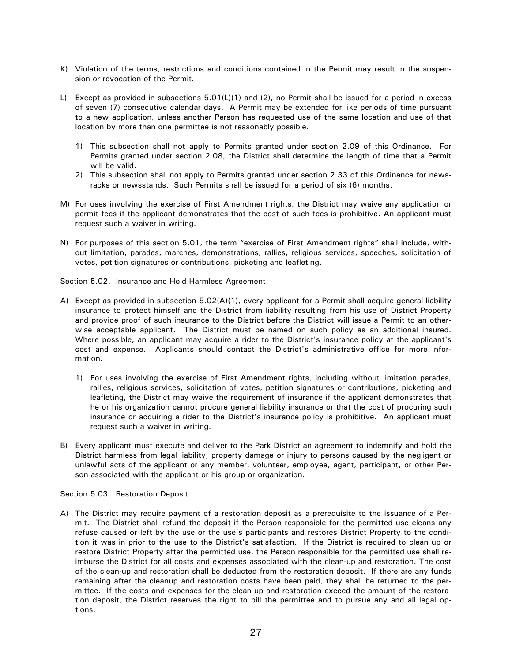- K) Violation of the terms, restrictions and conditions contained in the Permit may result in the suspension or revocation of the Permit.
- L) Except as provided in subsections 5.01(L)(1) and (2), no Permit shall be issued for a period in excess of seven (7) consecutive calendar days. A Permit may be extended for like periods of time pursuant to a new application, unless another Person has requested use of the same location and use of that location by more than one permittee is not reasonably possible.
	- 1) This subsection shall not apply to Permits granted under section 2.09 of this Ordinance. For Permits granted under section 2.08, the District shall determine the length of time that a Permit will be valid.
	- 2) This subsection shall not apply to Permits granted under section 2.33 of this Ordinance for newsracks or newsstands. Such Permits shall be issued for a period of six (6) months.
- M) For uses involving the exercise of First Amendment rights, the District may waive any application or permit fees if the applicant demonstrates that the cost of such fees is prohibitive. An applicant must request such a waiver in writing.
- N) For purposes of this section 5.01, the term "exercise of First Amendment rights" shall include, without limitation, parades, marches, demonstrations, rallies, religious services, speeches, solicitation of votes, petition signatures or contributions, picketing and leafleting.

### Section 5.02. Insurance and Hold Harmless Agreement.

- A) Except as provided in subsection 5.02(A)(1), every applicant for a Permit shall acquire general liability insurance to protect himself and the District from liability resulting from his use of District Property and provide proof of such insurance to the District before the District will issue a Permit to an otherwise acceptable applicant. The District must be named on such policy as an additional insured. Where possible, an applicant may acquire a rider to the District's insurance policy at the applicant's cost and expense. Applicants should contact the District's administrative office for more information.
	- 1) For uses involving the exercise of First Amendment rights, including without limitation parades, rallies, religious services, solicitation of votes, petition signatures or contributions, picketing and leafleting, the District may waive the requirement of insurance if the applicant demonstrates that he or his organization cannot procure general liability insurance or that the cost of procuring such insurance or acquiring a rider to the District's insurance policy is prohibitive. An applicant must request such a waiver in writing.
- B) Every applicant must execute and deliver to the Park District an agreement to indemnify and hold the District harmless from legal liability, property damage or injury to persons caused by the negligent or unlawful acts of the applicant or any member, volunteer, employee, agent, participant, or other Person associated with the applicant or his group or organization.

#### Section 5.03. Restoration Deposit.

A) The District may require payment of a restoration deposit as a prerequisite to the issuance of a Permit. The District shall refund the deposit if the Person responsible for the permitted use cleans any refuse caused or left by the use or the use's participants and restores District Property to the condition it was in prior to the use to the District's satisfaction. If the District is required to clean up or restore District Property after the permitted use, the Person responsible for the permitted use shall reimburse the District for all costs and expenses associated with the clean-up and restoration. The cost of the clean-up and restoration shall be deducted from the restoration deposit. If there are any funds remaining after the cleanup and restoration costs have been paid, they shall be returned to the permittee. If the costs and expenses for the clean-up and restoration exceed the amount of the restoration deposit, the District reserves the right to bill the permittee and to pursue any and all legal options.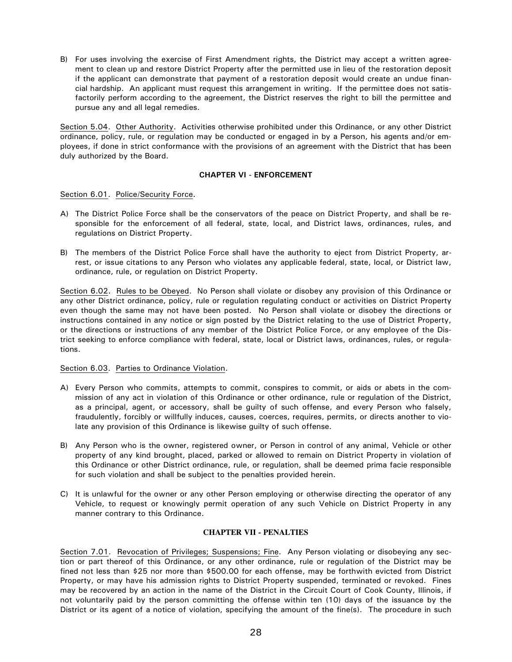B) For uses involving the exercise of First Amendment rights, the District may accept a written agreement to clean up and restore District Property after the permitted use in lieu of the restoration deposit if the applicant can demonstrate that payment of a restoration deposit would create an undue financial hardship. An applicant must request this arrangement in writing. If the permittee does not satisfactorily perform according to the agreement, the District reserves the right to bill the permittee and pursue any and all legal remedies.

Section 5.04. Other Authority. Activities otherwise prohibited under this Ordinance, or any other District ordinance, policy, rule, or regulation may be conducted or engaged in by a Person, his agents and/or employees, if done in strict conformance with the provisions of an agreement with the District that has been duly authorized by the Board.

## **CHAPTER VI - ENFORCEMENT**

## Section 6.01. Police/Security Force.

- A) The District Police Force shall be the conservators of the peace on District Property, and shall be responsible for the enforcement of all federal, state, local, and District laws, ordinances, rules, and regulations on District Property.
- B) The members of the District Police Force shall have the authority to eject from District Property, arrest, or issue citations to any Person who violates any applicable federal, state, local, or District law, ordinance, rule, or regulation on District Property.

Section 6.02. Rules to be Obeyed. No Person shall violate or disobey any provision of this Ordinance or any other District ordinance, policy, rule or regulation regulating conduct or activities on District Property even though the same may not have been posted. No Person shall violate or disobey the directions or instructions contained in any notice or sign posted by the District relating to the use of District Property, or the directions or instructions of any member of the District Police Force, or any employee of the District seeking to enforce compliance with federal, state, local or District laws, ordinances, rules, or regulations.

## Section 6.03. Parties to Ordinance Violation.

- A) Every Person who commits, attempts to commit, conspires to commit, or aids or abets in the commission of any act in violation of this Ordinance or other ordinance, rule or regulation of the District, as a principal, agent, or accessory, shall be guilty of such offense, and every Person who falsely, fraudulently, forcibly or willfully induces, causes, coerces, requires, permits, or directs another to violate any provision of this Ordinance is likewise quilty of such offense.
- B) Any Person who is the owner, registered owner, or Person in control of any animal, Vehicle or other property of any kind brought, placed, parked or allowed to remain on District Property in violation of this Ordinance or other District ordinance, rule, or regulation, shall be deemed prima facie responsible for such violation and shall be subject to the penalties provided herein.
- C) It is unlawful for the owner or any other Person employing or otherwise directing the operator of any Vehicle, to request or knowingly permit operation of any such Vehicle on District Property in any manner contrary to this Ordinance.

## **CHAPTER VII - PENALTIES**

Section 7.01. Revocation of Privileges; Suspensions; Fine. Any Person violating or disobeying any section or part thereof of this Ordinance, or any other ordinance, rule or regulation of the District may be fined not less than \$25 nor more than \$500.00 for each offense, may be forthwith evicted from District Property, or may have his admission rights to District Property suspended, terminated or revoked. Fines may be recovered by an action in the name of the District in the Circuit Court of Cook County, Illinois, if not voluntarily paid by the person committing the offense within ten (10) days of the issuance by the District or its agent of a notice of violation, specifying the amount of the fine(s). The procedure in such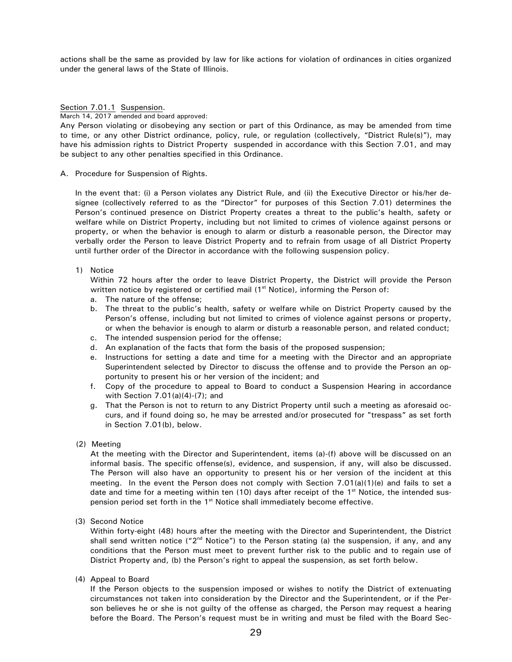actions shall be the same as provided by law for like actions for violation of ordinances in cities organized under the general laws of the State of Illinois.

#### Section 7.01.1 Suspension.

March 14, 2017 amended and board approved:

Any Person violating or disobeying any section or part of this Ordinance, as may be amended from time to time, or any other District ordinance, policy, rule, or regulation (collectively, "District Rule(s)"), may have his admission rights to District Property suspended in accordance with this Section 7.01, and may be subject to any other penalties specified in this Ordinance.

A. Procedure for Suspension of Rights.

In the event that: (i) a Person violates any District Rule, and (ii) the Executive Director or his/her designee (collectively referred to as the "Director" for purposes of this Section 7.01) determines the Person's continued presence on District Property creates a threat to the public's health, safety or welfare while on District Property, including but not limited to crimes of violence against persons or property, or when the behavior is enough to alarm or disturb a reasonable person, the Director may verbally order the Person to leave District Property and to refrain from usage of all District Property until further order of the Director in accordance with the following suspension policy.

1) Notice

Within 72 hours after the order to leave District Property, the District will provide the Person written notice by registered or certified mail (1<sup>st</sup> Notice), informing the Person of:

- a. The nature of the offense;
- b. The threat to the public's health, safety or welfare while on District Property caused by the Person's offense, including but not limited to crimes of violence against persons or property, or when the behavior is enough to alarm or disturb a reasonable person, and related conduct;
- c. The intended suspension period for the offense:
- d. An explanation of the facts that form the basis of the proposed suspension;
- e. Instructions for setting a date and time for a meeting with the Director and an appropriate Superintendent selected by Director to discuss the offense and to provide the Person an opportunity to present his or her version of the incident; and
- f. Copy of the procedure to appeal to Board to conduct a Suspension Hearing in accordance with Section  $7.01(a)(4)-(7)$ ; and
- g. That the Person is not to return to any District Property until such a meeting as aforesaid occurs, and if found doing so, he may be arrested and/or prosecuted for "trespass" as set forth in Section 7.01(b), below.
- (2) Meeting

At the meeting with the Director and Superintendent, items (a)-(f) above will be discussed on an informal basis. The specific offense(s), evidence, and suspension, if any, will also be discussed. The Person will also have an opportunity to present his or her version of the incident at this meeting. In the event the Person does not comply with Section  $7.01(a)(1)(e)$  and fails to set a date and time for a meeting within ten (10) days after receipt of the 1<sup>st</sup> Notice, the intended suspension period set forth in the 1<sup>st</sup> Notice shall immediately become effective.

(3) Second Notice

Within forty-eight (48) hours after the meeting with the Director and Superintendent, the District shall send written notice (" $2<sup>nd</sup>$  Notice") to the Person stating (a) the suspension, if any, and any conditions that the Person must meet to prevent further risk to the public and to regain use of District Property and, (b) the Person's right to appeal the suspension, as set forth below.

(4) Appeal to Board

If the Person objects to the suspension imposed or wishes to notify the District of extenuating circumstances not taken into consideration by the Director and the Superintendent, or if the Person believes he or she is not guilty of the offense as charged, the Person may request a hearing before the Board. The Person's request must be in writing and must be filed with the Board Sec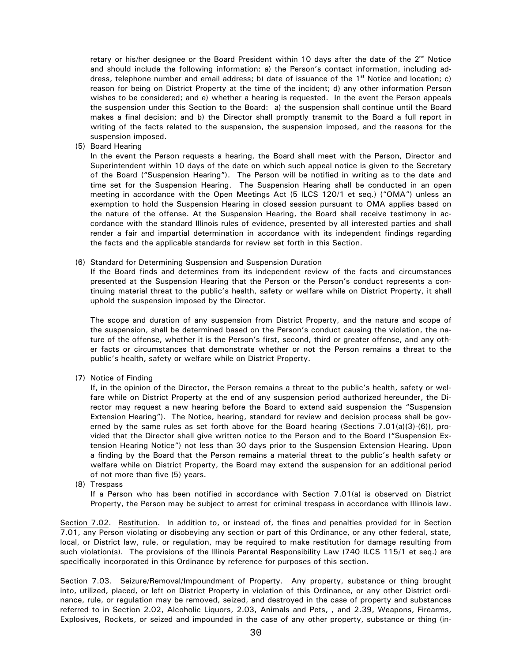retary or his/her designee or the Board President within 10 days after the date of the 2<sup>nd</sup> Notice and should include the following information: a) the Person's contact information, including address, telephone number and email address; b) date of issuance of the 1<sup>st</sup> Notice and location; c) reason for being on District Property at the time of the incident; d) any other information Person wishes to be considered; and e) whether a hearing is requested. In the event the Person appeals the suspension under this Section to the Board: a) the suspension shall continue until the Board makes a final decision; and b) the Director shall promptly transmit to the Board a full report in writing of the facts related to the suspension, the suspension imposed, and the reasons for the suspension imposed.

(5) Board Hearing

In the event the Person requests a hearing, the Board shall meet with the Person, Director and Superintendent within 10 days of the date on which such appeal notice is given to the Secretary of the Board ("Suspension Hearing"). The Person will be notified in writing as to the date and time set for the Suspension Hearing. The Suspension Hearing shall be conducted in an open meeting in accordance with the Open Meetings Act (5 ILCS 120/1 et seq.) ("OMA") unless an exemption to hold the Suspension Hearing in closed session pursuant to OMA applies based on the nature of the offense. At the Suspension Hearing, the Board shall receive testimony in accordance with the standard Illinois rules of evidence, presented by all interested parties and shall render a fair and impartial determination in accordance with its independent findings regarding the facts and the applicable standards for review set forth in this Section.

(6) Standard for Determining Suspension and Suspension Duration

If the Board finds and determines from its independent review of the facts and circumstances presented at the Suspension Hearing that the Person or the Person's conduct represents a continuing material threat to the public's health, safety or welfare while on District Property, it shall uphold the suspension imposed by the Director.

The scope and duration of any suspension from District Property, and the nature and scope of the suspension, shall be determined based on the Person's conduct causing the violation, the nature of the offense, whether it is the Person's first, second, third or greater offense, and any other facts or circumstances that demonstrate whether or not the Person remains a threat to the public's health, safety or welfare while on District Property.

(7) Notice of Finding

If, in the opinion of the Director, the Person remains a threat to the public's health, safety or welfare while on District Property at the end of any suspension period authorized hereunder, the Director may request a new hearing before the Board to extend said suspension the "Suspension Extension Hearing"). The Notice, hearing, standard for review and decision process shall be governed by the same rules as set forth above for the Board hearing (Sections  $7.01(a)(3)-(6)$ ), provided that the Director shall give written notice to the Person and to the Board ("Suspension Extension Hearing Notice") not less than 30 days prior to the Suspension Extension Hearing. Upon a finding by the Board that the Person remains a material threat to the public's health safety or welfare while on District Property, the Board may extend the suspension for an additional period of not more than five (5) years.

(8) Trespass

If a Person who has been notified in accordance with Section 7.01(a) is observed on District Property, the Person may be subject to arrest for criminal trespass in accordance with Illinois law.

Section 7.02. Restitution. In addition to, or instead of, the fines and penalties provided for in Section 7.01, any Person violating or disobeying any section or part of this Ordinance, or any other federal, state, local, or District law, rule, or regulation, may be required to make restitution for damage resulting from such violation(s). The provisions of the Illinois Parental Responsibility Law (740 ILCS 115/1 et seq.) are specifically incorporated in this Ordinance by reference for purposes of this section.

Section 7.03. Seizure/Removal/Impoundment of Property. Any property, substance or thing brought into, utilized, placed, or left on District Property in violation of this Ordinance, or any other District ordinance, rule, or regulation may be removed, seized, and destroyed in the case of property and substances referred to in Section 2.02, Alcoholic Liquors, 2.03, Animals and Pets, , and 2.39, Weapons, Firearms, Explosives, Rockets, or seized and impounded in the case of any other property, substance or thing (in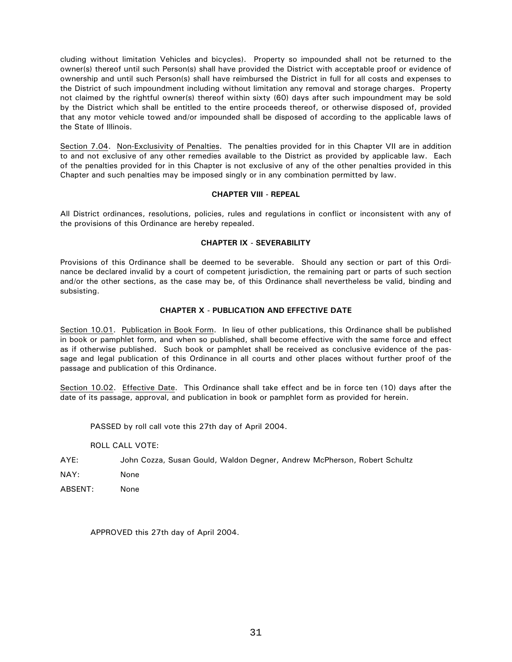cluding without limitation Vehicles and bicycles). Property so impounded shall not be returned to the owner(s) thereof until such Person(s) shall have provided the District with acceptable proof or evidence of ownership and until such Person(s) shall have reimbursed the District in full for all costs and expenses to the District of such impoundment including without limitation any removal and storage charges. Property not claimed by the rightful owner(s) thereof within sixty (60) days after such impoundment may be sold by the District which shall be entitled to the entire proceeds thereof, or otherwise disposed of, provided that any motor vehicle towed and/or impounded shall be disposed of according to the applicable laws of the State of Illinois.

Section 7.04. Non-Exclusivity of Penalties. The penalties provided for in this Chapter VII are in addition to and not exclusive of any other remedies available to the District as provided by applicable law. Each of the penalties provided for in this Chapter is not exclusive of any of the other penalties provided in this Chapter and such penalties may be imposed singly or in any combination permitted by law.

### **CHAPTER VIII - REPEAL**

All District ordinances, resolutions, policies, rules and regulations in conflict or inconsistent with any of the provisions of this Ordinance are hereby repealed.

### **CHAPTER IX - SEVERABILITY**

Provisions of this Ordinance shall be deemed to be severable. Should any section or part of this Ordinance be declared invalid by a court of competent jurisdiction, the remaining part or parts of such section and/or the other sections, as the case may be, of this Ordinance shall nevertheless be valid, binding and subsisting.

## **CHAPTER X - PUBLICATION AND EFFECTIVE DATE**

Section 10.01. Publication in Book Form. In lieu of other publications, this Ordinance shall be published in book or pamphlet form, and when so published, shall become effective with the same force and effect as if otherwise published. Such book or pamphlet shall be received as conclusive evidence of the passage and legal publication of this Ordinance in all courts and other places without further proof of the passage and publication of this Ordinance.

Section 10.02. Effective Date. This Ordinance shall take effect and be in force ten (10) days after the date of its passage, approval, and publication in book or pamphlet form as provided for herein.

PASSED by roll call vote this 27th day of April 2004.

**ROLL CALL VOTE:** 

- AYE: John Cozza, Susan Gould, Waldon Degner, Andrew McPherson, Robert Schultz
- NAY: None
- ARSENT<sup>.</sup> None

APPROVED this 27th day of April 2004.